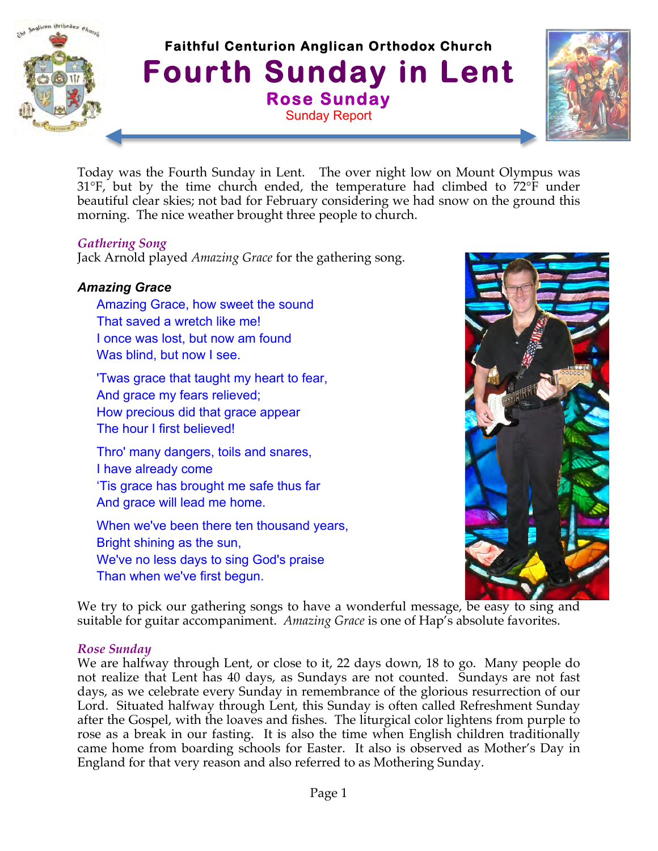

## **Faithful Centurion Anglican Orthodox Church Fourth Sunday in Lent Rose Sunday** Sunday Report



Today was the Fourth Sunday in Lent. The over night low on Mount Olympus was  $31^{\circ}$ F, but by the time church ended, the temperature had climbed to  $72^{\circ}$ F under beautiful clear skies; not bad for February considering we had snow on the ground this morning. The nice weather brought three people to church.

## *Gathering Song*

Jack Arnold played *Amazing Grace* for the gathering song.

## *Amazing Grace*

Amazing Grace, how sweet the sound That saved a wretch like me! I once was lost, but now am found Was blind, but now I see.

'Twas grace that taught my heart to fear, And grace my fears relieved; How precious did that grace appear The hour I first believed!

Thro' many dangers, toils and snares, I have already come 'Tis grace has brought me safe thus far And grace will lead me home.

When we've been there ten thousand years, Bright shining as the sun, We've no less days to sing God's praise Than when we've first begun.



We try to pick our gathering songs to have a wonderful message, be easy to sing and suitable for guitar accompaniment. *Amazing Grace* is one of Hap's absolute favorites.

#### *Rose Sunday*

We are halfway through Lent, or close to it, 22 days down, 18 to go. Many people do not realize that Lent has 40 days, as Sundays are not counted. Sundays are not fast days, as we celebrate every Sunday in remembrance of the glorious resurrection of our Lord. Situated halfway through Lent, this Sunday is often called Refreshment Sunday after the Gospel, with the loaves and fishes. The liturgical color lightens from purple to rose as a break in our fasting. It is also the time when English children traditionally came home from boarding schools for Easter. It also is observed as Mother's Day in England for that very reason and also referred to as Mothering Sunday.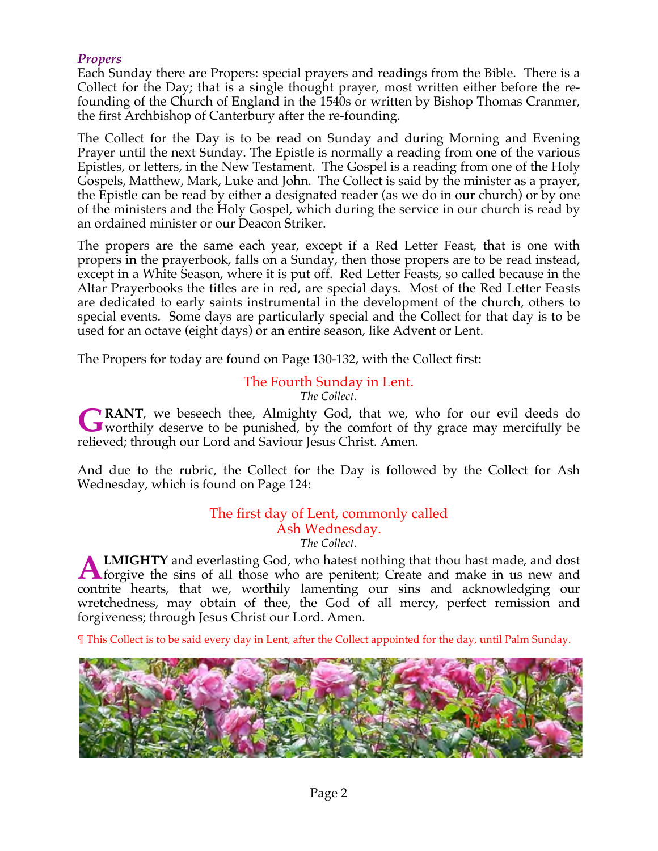## *Propers*

Each Sunday there are Propers: special prayers and readings from the Bible. There is a Collect for the Day; that is a single thought prayer, most written either before the refounding of the Church of England in the 1540s or written by Bishop Thomas Cranmer, the first Archbishop of Canterbury after the re-founding.

The Collect for the Day is to be read on Sunday and during Morning and Evening Prayer until the next Sunday. The Epistle is normally a reading from one of the various Epistles, or letters, in the New Testament. The Gospel is a reading from one of the Holy Gospels, Matthew, Mark, Luke and John. The Collect is said by the minister as a prayer, the Epistle can be read by either a designated reader (as we do in our church) or by one of the ministers and the Holy Gospel, which during the service in our church is read by an ordained minister or our Deacon Striker.

The propers are the same each year, except if a Red Letter Feast, that is one with propers in the prayerbook, falls on a Sunday, then those propers are to be read instead, except in a White Season, where it is put off. Red Letter Feasts, so called because in the Altar Prayerbooks the titles are in red, are special days. Most of the Red Letter Feasts are dedicated to early saints instrumental in the development of the church, others to special events. Some days are particularly special and the Collect for that day is to be used for an octave (eight days) or an entire season, like Advent or Lent.

The Propers for today are found on Page 130-132, with the Collect first:

## The Fourth Sunday in Lent.

*The Collect.*

**RANT**, we beseech thee, Almighty God, that we, who for our evil deeds do **GRANT**, we beseech thee, Almighty God, that we, who for our evil deeds do worthily deserve to be punished, by the comfort of thy grace may mercifully be relieved; through our Lord and Saviour Jesus Christ. Amen.

And due to the rubric, the Collect for the Day is followed by the Collect for Ash Wednesday, which is found on Page 124:

#### The first day of Lent, commonly called Ash Wednesday. *The Collect.*

**LMIGHTY** and everlasting God, who hatest nothing that thou hast made, and dost **ALMIGHTY** and everlasting God, who hatest nothing that thou hast made, and dost forgive the sins of all those who are penitent; Create and make in us new and contrite hearts, that we, worthily lamenting our sins and acknowledging our wretchedness, may obtain of thee, the God of all mercy, perfect remission and forgiveness; through Jesus Christ our Lord. Amen.

¶ This Collect is to be said every day in Lent, after the Collect appointed for the day, until Palm Sunday.

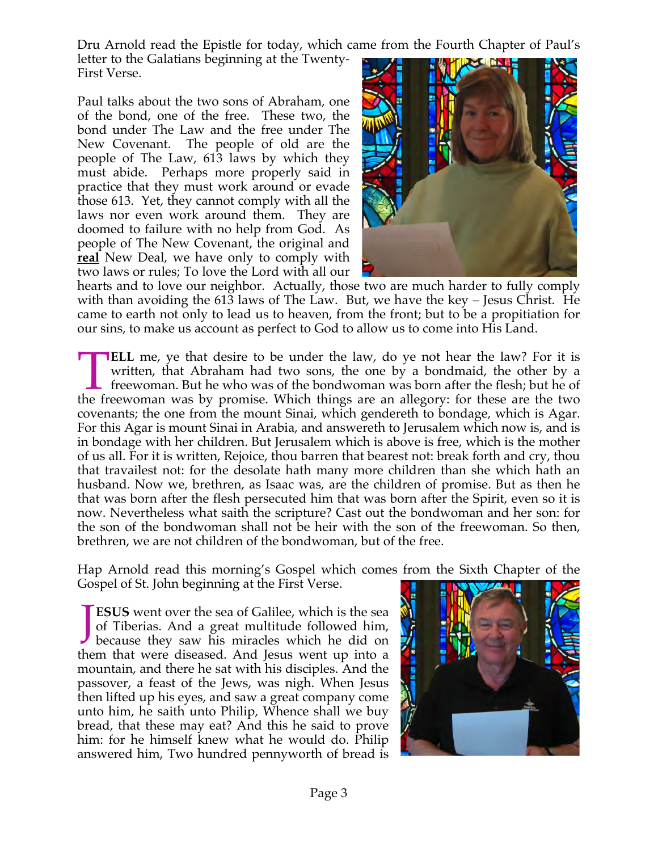Dru Arnold read the Epistle for today, which came from the Fourth Chapter of Paul's

letter to the Galatians beginning at the Twenty-First Verse.

Paul talks about the two sons of Abraham, one of the bond, one of the free. These two, the bond under The Law and the free under The New Covenant. The people of old are the people of The Law, 613 laws by which they must abide. Perhaps more properly said in practice that they must work around or evade those 613. Yet, they cannot comply with all the laws nor even work around them. They are doomed to failure with no help from God. As people of The New Covenant, the original and **real** New Deal, we have only to comply with two laws or rules; To love the Lord with all our



hearts and to love our neighbor. Actually, those two are much harder to fully comply with than avoiding the 613 laws of The Law. But, we have the key – Jesus Christ. He came to earth not only to lead us to heaven, from the front; but to be a propitiation for our sins, to make us account as perfect to God to allow us to come into His Land.

**IELL** me, ye that desire to be under the law, do ye not hear the law? For it is written, that Abraham had two sons, the one by a bondmaid, the other by a freewoman. But he who was of the bondwoman was born after the flesh; but he of **ELL** me, ye that desire to be under the law, do ye not hear the law? For it is written, that Abraham had two sons, the one by a bondmaid, the other by a freewoman. But he who was of the bondwoman was born after the flesh; covenants; the one from the mount Sinai, which gendereth to bondage, which is Agar. For this Agar is mount Sinai in Arabia, and answereth to Jerusalem which now is, and is in bondage with her children. But Jerusalem which is above is free, which is the mother of us all. For it is written, Rejoice, thou barren that bearest not: break forth and cry, thou that travailest not: for the desolate hath many more children than she which hath an husband. Now we, brethren, as Isaac was, are the children of promise. But as then he that was born after the flesh persecuted him that was born after the Spirit, even so it is now. Nevertheless what saith the scripture? Cast out the bondwoman and her son: for the son of the bondwoman shall not be heir with the son of the freewoman. So then, brethren, we are not children of the bondwoman, but of the free.

Hap Arnold read this morning's Gospel which comes from the Sixth Chapter of the Gospel of St. John beginning at the First Verse.

**ESUS** went over the sea of Galilee, which is the sea of Tiberias. And a great multitude followed him, **JESUS** went over the sea of Galilee, which is the sea of Tiberias. And a great multitude followed him, because they saw his miracles which he did on them that were diseased. And Jesus went up into a mountain, and there he sat with his disciples. And the passover, a feast of the Jews, was nigh. When Jesus then lifted up his eyes, and saw a great company come unto him, he saith unto Philip, Whence shall we buy bread, that these may eat? And this he said to prove him: for he himself knew what he would do. Philip answered him, Two hundred pennyworth of bread is

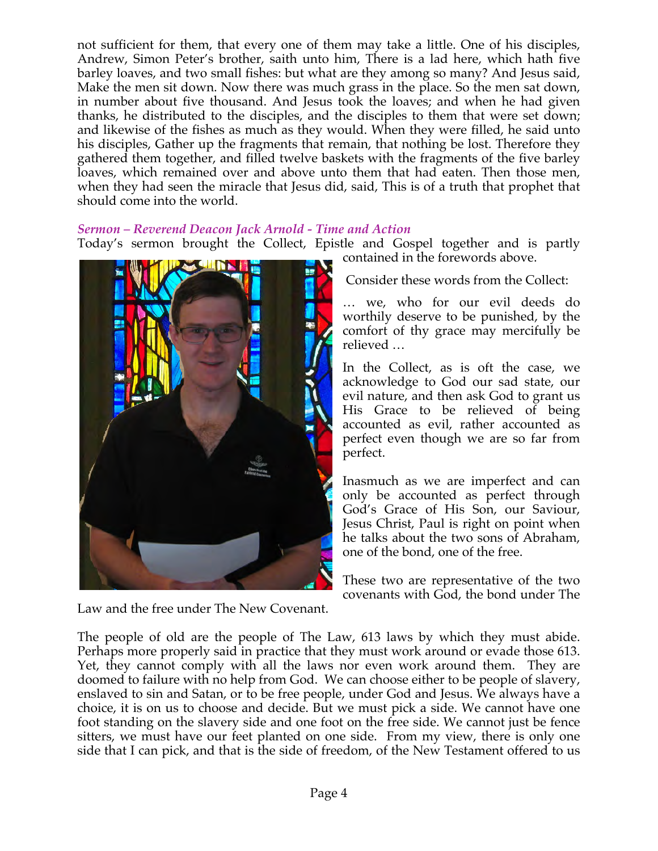not sufficient for them, that every one of them may take a little. One of his disciples, Andrew, Simon Peter's brother, saith unto him, There is a lad here, which hath five barley loaves, and two small fishes: but what are they among so many? And Jesus said, Make the men sit down. Now there was much grass in the place. So the men sat down, in number about five thousand. And Jesus took the loaves; and when he had given thanks, he distributed to the disciples, and the disciples to them that were set down; and likewise of the fishes as much as they would. When they were filled, he said unto his disciples, Gather up the fragments that remain, that nothing be lost. Therefore they gathered them together, and filled twelve baskets with the fragments of the five barley loaves, which remained over and above unto them that had eaten. Then those men, when they had seen the miracle that Jesus did, said, This is of a truth that prophet that should come into the world.

## *Sermon – Reverend Deacon Jack Arnold - Time and Action*

Today's sermon brought the Collect, Epistle and Gospel together and is partly contained in the forewords above.



Consider these words from the Collect:

… we, who for our evil deeds do worthily deserve to be punished, by the comfort of thy grace may mercifully be relieved …

In the Collect, as is oft the case, we acknowledge to God our sad state, our evil nature, and then ask God to grant us His Grace to be relieved of being accounted as evil, rather accounted as perfect even though we are so far from perfect.

Inasmuch as we are imperfect and can only be accounted as perfect through God's Grace of His Son, our Saviour, Jesus Christ, Paul is right on point when he talks about the two sons of Abraham, one of the bond, one of the free.

These two are representative of the two covenants with God, the bond under The

Law and the free under The New Covenant.

The people of old are the people of The Law, 613 laws by which they must abide. Perhaps more properly said in practice that they must work around or evade those 613. Yet, they cannot comply with all the laws nor even work around them. They are doomed to failure with no help from God. We can choose either to be people of slavery, enslaved to sin and Satan, or to be free people, under God and Jesus. We always have a choice, it is on us to choose and decide. But we must pick a side. We cannot have one foot standing on the slavery side and one foot on the free side. We cannot just be fence sitters, we must have our feet planted on one side. From my view, there is only one side that I can pick, and that is the side of freedom, of the New Testament offered to us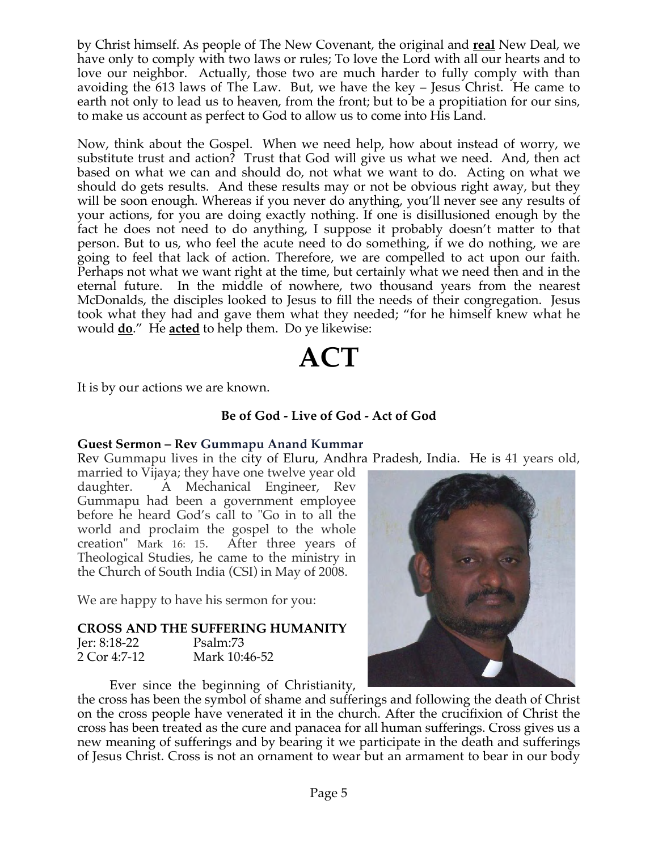by Christ himself. As people of The New Covenant, the original and **real** New Deal, we have only to comply with two laws or rules; To love the Lord with all our hearts and to love our neighbor. Actually, those two are much harder to fully comply with than avoiding the 613 laws of The Law. But, we have the key – Jesus Christ. He came to earth not only to lead us to heaven, from the front; but to be a propitiation for our sins, to make us account as perfect to God to allow us to come into His Land.

Now, think about the Gospel. When we need help, how about instead of worry, we substitute trust and action? Trust that God will give us what we need. And, then act based on what we can and should do, not what we want to do. Acting on what we should do gets results. And these results may or not be obvious right away, but they will be soon enough. Whereas if you never do anything, you'll never see any results of your actions, for you are doing exactly nothing. If one is disillusioned enough by the fact he does not need to do anything, I suppose it probably doesn't matter to that person. But to us, who feel the acute need to do something, if we do nothing, we are going to feel that lack of action. Therefore, we are compelled to act upon our faith. Perhaps not what we want right at the time, but certainly what we need then and in the eternal future. In the middle of nowhere, two thousand years from the nearest McDonalds, the disciples looked to Jesus to fill the needs of their congregation. Jesus took what they had and gave them what they needed; "for he himself knew what he would **do**." He **acted** to help them. Do ye likewise:

# **ACT**

It is by our actions we are known.

## **Be of God - Live of God - Act of God**

## **Guest Sermon – Rev Gummapu Anand Kummar**

Rev Gummapu lives in the city of Eluru, Andhra Pradesh, India. He is 41 years old,

married to Vijaya; they have one twelve year old daughter. A Mechanical Engineer, Rev Gummapu had been a government employee before he heard God's call to "Go in to all the world and proclaim the gospel to the whole creation" Mark 16: 15. After three years of Theological Studies, he came to the ministry in the Church of South India (CSI) in May of 2008.

We are happy to have his sermon for you:

**CROSS AND THE SUFFERING HUMANITY** Jer: 8:18-22 Psalm:73 2 Cor 4:7-12 Mark 10:46-52

Ever since the beginning of Christianity,

the cross has been the symbol of shame and sufferings and following the death of Christ on the cross people have venerated it in the church. After the crucifixion of Christ the cross has been treated as the cure and panacea for all human sufferings. Cross gives us a new meaning of sufferings and by bearing it we participate in the death and sufferings of Jesus Christ. Cross is not an ornament to wear but an armament to bear in our body

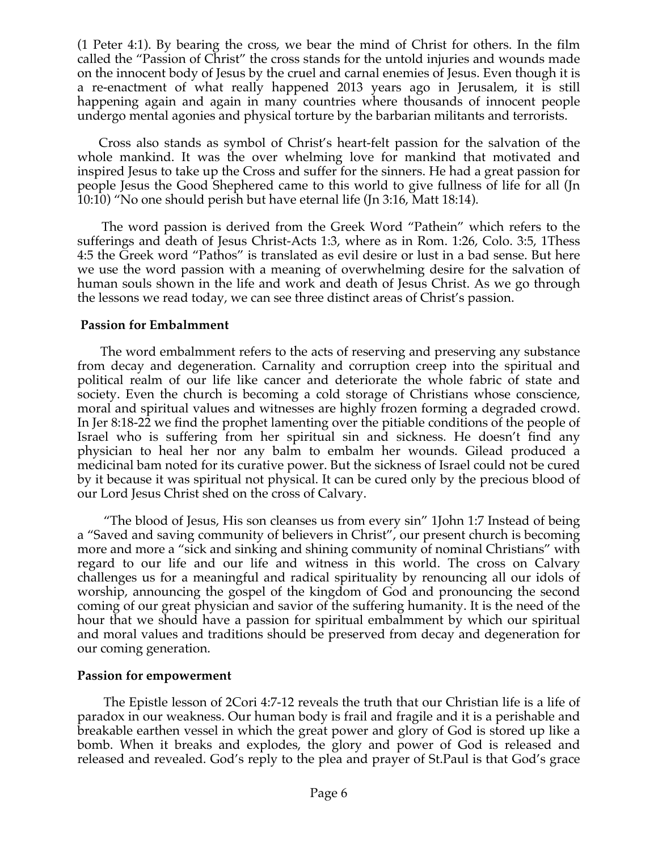(1 Peter 4:1). By bearing the cross, we bear the mind of Christ for others. In the film called the "Passion of Christ" the cross stands for the untold injuries and wounds made on the innocent body of Jesus by the cruel and carnal enemies of Jesus. Even though it is a re-enactment of what really happened 2013 years ago in Jerusalem, it is still happening again and again in many countries where thousands of innocent people undergo mental agonies and physical torture by the barbarian militants and terrorists.

 Cross also stands as symbol of Christ's heart-felt passion for the salvation of the whole mankind. It was the over whelming love for mankind that motivated and inspired Jesus to take up the Cross and suffer for the sinners. He had a great passion for people Jesus the Good Shephered came to this world to give fullness of life for all (Jn 10:10) "No one should perish but have eternal life (Jn 3:16, Matt 18:14).

 The word passion is derived from the Greek Word "Pathein" which refers to the sufferings and death of Jesus Christ-Acts 1:3, where as in Rom. 1:26, Colo. 3:5, 1Thess 4:5 the Greek word "Pathos" is translated as evil desire or lust in a bad sense. But here we use the word passion with a meaning of overwhelming desire for the salvation of human souls shown in the life and work and death of Jesus Christ. As we go through the lessons we read today, we can see three distinct areas of Christ's passion.

#### **Passion for Embalmment**

 The word embalmment refers to the acts of reserving and preserving any substance from decay and degeneration. Carnality and corruption creep into the spiritual and political realm of our life like cancer and deteriorate the whole fabric of state and society. Even the church is becoming a cold storage of Christians whose conscience, moral and spiritual values and witnesses are highly frozen forming a degraded crowd. In Jer 8:18-22 we find the prophet lamenting over the pitiable conditions of the people of Israel who is suffering from her spiritual sin and sickness. He doesn't find any physician to heal her nor any balm to embalm her wounds. Gilead produced a medicinal bam noted for its curative power. But the sickness of Israel could not be cured by it because it was spiritual not physical. It can be cured only by the precious blood of our Lord Jesus Christ shed on the cross of Calvary.

 "The blood of Jesus, His son cleanses us from every sin" 1John 1:7 Instead of being a "Saved and saving community of believers in Christ", our present church is becoming more and more a "sick and sinking and shining community of nominal Christians" with regard to our life and our life and witness in this world. The cross on Calvary challenges us for a meaningful and radical spirituality by renouncing all our idols of worship, announcing the gospel of the kingdom of God and pronouncing the second coming of our great physician and savior of the suffering humanity. It is the need of the hour that we should have a passion for spiritual embalmment by which our spiritual and moral values and traditions should be preserved from decay and degeneration for our coming generation.

#### **Passion for empowerment**

 The Epistle lesson of 2Cori 4:7-12 reveals the truth that our Christian life is a life of paradox in our weakness. Our human body is frail and fragile and it is a perishable and breakable earthen vessel in which the great power and glory of God is stored up like a bomb. When it breaks and explodes, the glory and power of God is released and released and revealed. God's reply to the plea and prayer of St.Paul is that God's grace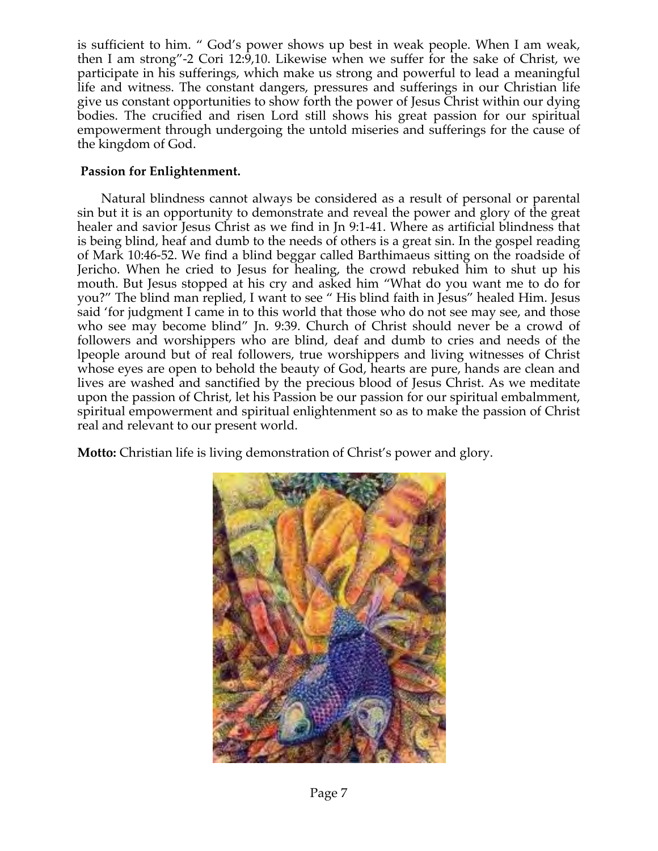is sufficient to him. " God's power shows up best in weak people. When I am weak, then I am strong"-2 Cori 12:9,10. Likewise when we suffer for the sake of Christ, we participate in his sufferings, which make us strong and powerful to lead a meaningful life and witness. The constant dangers, pressures and sufferings in our Christian life give us constant opportunities to show forth the power of Jesus Christ within our dying bodies. The crucified and risen Lord still shows his great passion for our spiritual empowerment through undergoing the untold miseries and sufferings for the cause of the kingdom of God.

## **Passion for Enlightenment.**

Natural blindness cannot always be considered as a result of personal or parental sin but it is an opportunity to demonstrate and reveal the power and glory of the great healer and savior Jesus Christ as we find in Jn 9:1-41. Where as artificial blindness that is being blind, heaf and dumb to the needs of others is a great sin. In the gospel reading of Mark 10:46-52. We find a blind beggar called Barthimaeus sitting on the roadside of Jericho. When he cried to Jesus for healing, the crowd rebuked him to shut up his mouth. But Jesus stopped at his cry and asked him "What do you want me to do for you?" The blind man replied, I want to see " His blind faith in Jesus" healed Him. Jesus said 'for judgment I came in to this world that those who do not see may see, and those who see may become blind" Jn. 9:39. Church of Christ should never be a crowd of followers and worshippers who are blind, deaf and dumb to cries and needs of the lpeople around but of real followers, true worshippers and living witnesses of Christ whose eyes are open to behold the beauty of God, hearts are pure, hands are clean and lives are washed and sanctified by the precious blood of Jesus Christ. As we meditate upon the passion of Christ, let his Passion be our passion for our spiritual embalmment, spiritual empowerment and spiritual enlightenment so as to make the passion of Christ real and relevant to our present world.

**Motto:** Christian life is living demonstration of Christ's power and glory.

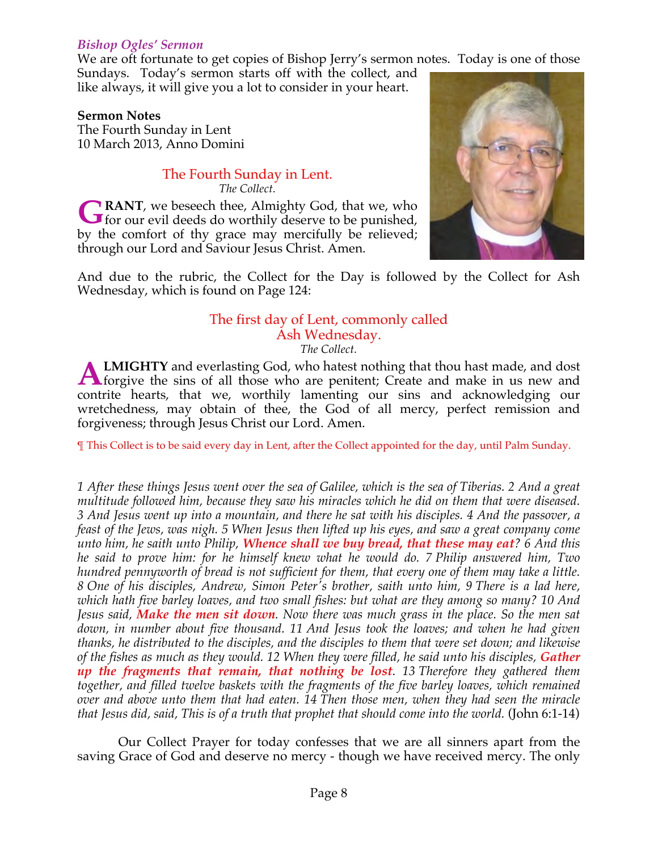#### *Bishop Ogles' Sermon*

We are oft fortunate to get copies of Bishop Jerry's sermon notes. Today is one of those

Sundays. Today's sermon starts off with the collect, and like always, it will give you a lot to consider in your heart.

#### **Sermon Notes**

The Fourth Sunday in Lent 10 March 2013, Anno Domini

> The Fourth Sunday in Lent. *The Collect.*

**RANT**, we beseech thee, Almighty God, that we, who **GRANT**, we beseech thee, Almighty God, that we, who for our evil deeds do worthily deserve to be punished, by the comfort of thy grace may mercifully be relieved; through our Lord and Saviour Jesus Christ. Amen.



And due to the rubric, the Collect for the Day is followed by the Collect for Ash Wednesday, which is found on Page 124:

#### The first day of Lent, commonly called Ash Wednesday. *The Collect.*

**LMIGHTY** and everlasting God, who hatest nothing that thou hast made, and dost **ALMIGHTY** and everlasting God, who hatest nothing that thou hast made, and dost forgive the sins of all those who are penitent; Create and make in us new and contrite hearts, that we, worthily lamenting our sins and acknowledging our wretchedness, may obtain of thee, the God of all mercy, perfect remission and forgiveness; through Jesus Christ our Lord. Amen.

¶ This Collect is to be said every day in Lent, after the Collect appointed for the day, until Palm Sunday.

*1 After these things Jesus went over the sea of Galilee, which is the sea of Tiberias. 2 And a great multitude followed him, because they saw his miracles which he did on them that were diseased. 3 And Jesus went up into a mountain, and there he sat with his disciples. 4 And the passover, a feast of the Jews, was nigh. 5 When Jesus then lifted up his eyes, and saw a great company come unto him, he saith unto Philip, Whence shall we buy bread, that these may eat? 6 And this he said to prove him: for he himself knew what he would do. 7 Philip answered him, Two hundred pennyworth of bread is not sufficient for them, that every one of them may take a little. 8 One of his disciples, Andrew, Simon Peter's brother, saith unto him, 9 There is a lad here, which hath five barley loaves, and two small fishes: but what are they among so many? 10 And Jesus said, Make the men sit down. Now there was much grass in the place. So the men sat down, in number about five thousand. 11 And Jesus took the loaves; and when he had given thanks, he distributed to the disciples, and the disciples to them that were set down; and likewise of the fishes as much as they would. 12 When they were filled, he said unto his disciples, Gather up the fragments that remain, that nothing be lost. 13 Therefore they gathered them together, and filled twelve baskets with the fragments of the five barley loaves, which remained over and above unto them that had eaten. 14 Then those men, when they had seen the miracle that Jesus did, said, This is of a truth that prophet that should come into the world.* (John 6:1-14)

 Our Collect Prayer for today confesses that we are all sinners apart from the saving Grace of God and deserve no mercy - though we have received mercy. The only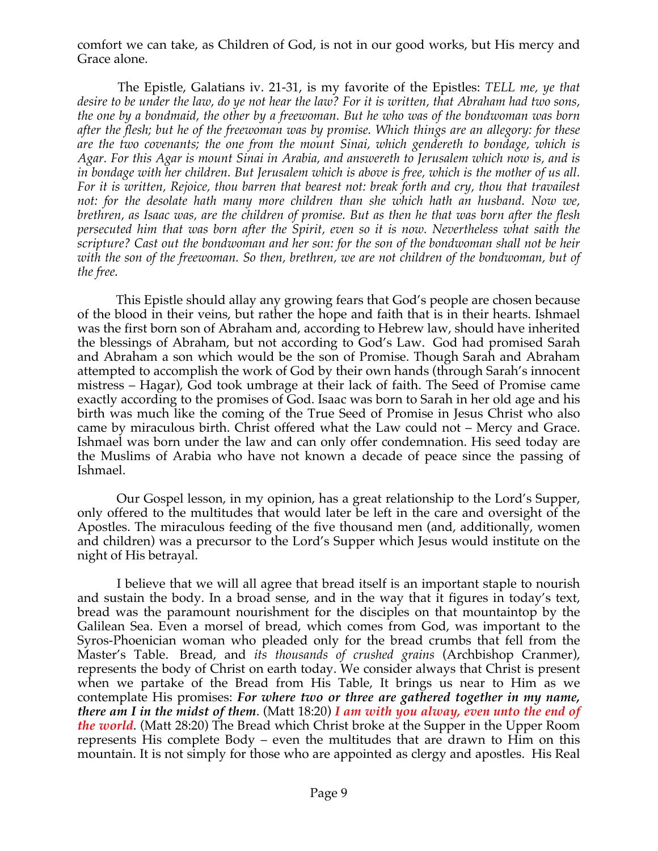comfort we can take, as Children of God, is not in our good works, but His mercy and Grace alone.

 The Epistle, Galatians iv. 21-31, is my favorite of the Epistles: *TELL me, ye that desire to be under the law, do ye not hear the law? For it is written, that Abraham had two sons, the one by a bondmaid, the other by a freewoman. But he who was of the bondwoman was born after the flesh; but he of the freewoman was by promise. Which things are an allegory: for these are the two covenants; the one from the mount Sinai, which gendereth to bondage, which is Agar. For this Agar is mount Sinai in Arabia, and answereth to Jerusalem which now is, and is in bondage with her children. But Jerusalem which is above is free, which is the mother of us all. For it is written, Rejoice, thou barren that bearest not: break forth and cry, thou that travailest*  not: for the desolate hath many more children than she which hath an husband. Now we, *brethren, as Isaac was, are the children of promise. But as then he that was born after the flesh persecuted him that was born after the Spirit, even so it is now. Nevertheless what saith the scripture? Cast out the bondwoman and her son: for the son of the bondwoman shall not be heir with the son of the freewoman. So then, brethren, we are not children of the bondwoman, but of the free.*

 This Epistle should allay any growing fears that God's people are chosen because of the blood in their veins, but rather the hope and faith that is in their hearts. Ishmael was the first born son of Abraham and, according to Hebrew law, should have inherited the blessings of Abraham, but not according to God's Law. God had promised Sarah and Abraham a son which would be the son of Promise. Though Sarah and Abraham attempted to accomplish the work of God by their own hands (through Sarah's innocent mistress – Hagar), God took umbrage at their lack of faith. The Seed of Promise came exactly according to the promises of God. Isaac was born to Sarah in her old age and his birth was much like the coming of the True Seed of Promise in Jesus Christ who also came by miraculous birth. Christ offered what the Law could not – Mercy and Grace. Ishmael was born under the law and can only offer condemnation. His seed today are the Muslims of Arabia who have not known a decade of peace since the passing of Ishmael.

 Our Gospel lesson, in my opinion, has a great relationship to the Lord's Supper, only offered to the multitudes that would later be left in the care and oversight of the Apostles. The miraculous feeding of the five thousand men (and, additionally, women and children) was a precursor to the Lord's Supper which Jesus would institute on the night of His betrayal.

 I believe that we will all agree that bread itself is an important staple to nourish and sustain the body. In a broad sense, and in the way that it figures in today's text, bread was the paramount nourishment for the disciples on that mountaintop by the Galilean Sea. Even a morsel of bread, which comes from God, was important to the Syros-Phoenician woman who pleaded only for the bread crumbs that fell from the Master's Table. Bread, and *its thousands of crushed grains* (Archbishop Cranmer), represents the body of Christ on earth today. We consider always that Christ is present when we partake of the Bread from His Table, It brings us near to Him as we contemplate His promises: *For where two or three are gathered together in my name, there am I in the midst of them*. (Matt 18:20) *I am with you alway, even unto the end of the world*. (Matt 28:20) The Bread which Christ broke at the Supper in the Upper Room represents His complete Body – even the multitudes that are drawn to Him on this mountain. It is not simply for those who are appointed as clergy and apostles. His Real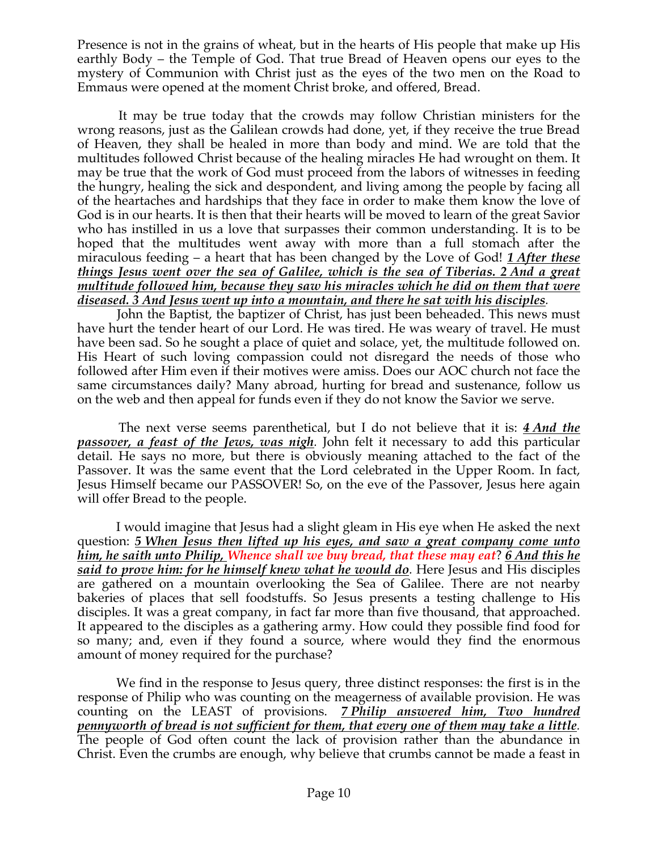Presence is not in the grains of wheat, but in the hearts of His people that make up His earthly Body – the Temple of God. That true Bread of Heaven opens our eyes to the mystery of Communion with Christ just as the eyes of the two men on the Road to Emmaus were opened at the moment Christ broke, and offered, Bread.

 It may be true today that the crowds may follow Christian ministers for the wrong reasons, just as the Galilean crowds had done, yet, if they receive the true Bread of Heaven, they shall be healed in more than body and mind. We are told that the multitudes followed Christ because of the healing miracles He had wrought on them. It may be true that the work of God must proceed from the labors of witnesses in feeding the hungry, healing the sick and despondent, and living among the people by facing all of the heartaches and hardships that they face in order to make them know the love of God is in our hearts. It is then that their hearts will be moved to learn of the great Savior who has instilled in us a love that surpasses their common understanding. It is to be hoped that the multitudes went away with more than a full stomach after the miraculous feeding – a heart that has been changed by the Love of God! *1 After these things Jesus went over the sea of Galilee, which is the sea of Tiberias. 2 And a great multitude followed him, because they saw his miracles which he did on them that were diseased. 3 And Jesus went up into a mountain, and there he sat with his disciples.*

John the Baptist, the baptizer of Christ, has just been beheaded. This news must have hurt the tender heart of our Lord. He was tired. He was weary of travel. He must have been sad. So he sought a place of quiet and solace, yet, the multitude followed on. His Heart of such loving compassion could not disregard the needs of those who followed after Him even if their motives were amiss. Does our AOC church not face the same circumstances daily? Many abroad, hurting for bread and sustenance, follow us on the web and then appeal for funds even if they do not know the Savior we serve.

 The next verse seems parenthetical, but I do not believe that it is: *4 And the passover, a feast of the Jews, was nigh.* John felt it necessary to add this particular detail. He says no more, but there is obviously meaning attached to the fact of the Passover. It was the same event that the Lord celebrated in the Upper Room. In fact, Jesus Himself became our PASSOVER! So, on the eve of the Passover, Jesus here again will offer Bread to the people.

 I would imagine that Jesus had a slight gleam in His eye when He asked the next question: *5 When Jesus then lifted up his eyes, and saw a great company come unto him, he saith unto Philip, Whence shall we buy bread, that these may eat*? *6 And this he said to prove him: for he himself knew what he would do.* Here Jesus and His disciples are gathered on a mountain overlooking the Sea of Galilee. There are not nearby bakeries of places that sell foodstuffs. So Jesus presents a testing challenge to His disciples. It was a great company, in fact far more than five thousand, that approached. It appeared to the disciples as a gathering army. How could they possible find food for so many; and, even if they found a source, where would they find the enormous amount of money required for the purchase?

 We find in the response to Jesus query, three distinct responses: the first is in the response of Philip who was counting on the meagerness of available provision. He was counting on the LEAST of provisions. *7 Philip answered him, Two hundred pennyworth of bread is not sufficient for them, that every one of them may take a little.* The people of God often count the lack of provision rather than the abundance in Christ. Even the crumbs are enough, why believe that crumbs cannot be made a feast in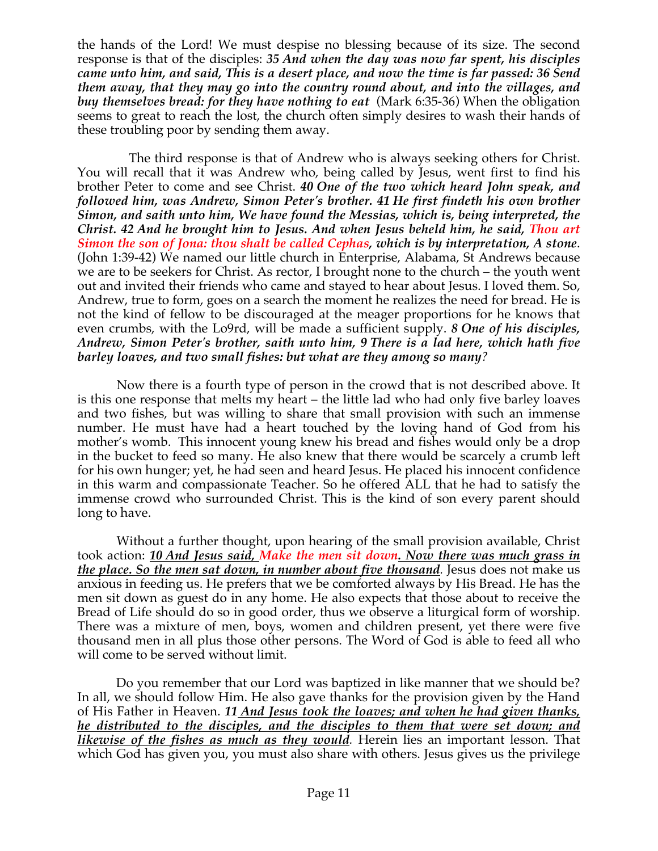the hands of the Lord! We must despise no blessing because of its size. The second response is that of the disciples: *35 And when the day was now far spent, his disciples came unto him, and said, This is a desert place, and now the time is far passed: 36 Send them away, that they may go into the country round about, and into the villages, and buy themselves bread: for they have nothing to eat* (Mark 6:35-36) When the obligation seems to great to reach the lost, the church often simply desires to wash their hands of these troubling poor by sending them away.

The third response is that of Andrew who is always seeking others for Christ. You will recall that it was Andrew who, being called by Jesus, went first to find his brother Peter to come and see Christ. *40 One of the two which heard John speak, and followed him, was Andrew, Simon Peter's brother. 41 He first findeth his own brother Simon, and saith unto him, We have found the Messias, which is, being interpreted, the Christ. 42 And he brought him to Jesus. And when Jesus beheld him, he said, Thou art Simon the son of Jona: thou shalt be called Cephas, which is by interpretation, A stone*. (John 1:39-42) We named our little church in Enterprise, Alabama, St Andrews because we are to be seekers for Christ. As rector, I brought none to the church – the youth went out and invited their friends who came and stayed to hear about Jesus. I loved them. So, Andrew, true to form, goes on a search the moment he realizes the need for bread. He is not the kind of fellow to be discouraged at the meager proportions for he knows that even crumbs, with the Lo9rd, will be made a sufficient supply. *8 One of his disciples, Andrew, Simon Peter's brother, saith unto him, 9 There is a lad here, which hath five barley loaves, and two small fishes: but what are they among so many?*

 Now there is a fourth type of person in the crowd that is not described above. It is this one response that melts my heart – the little lad who had only five barley loaves and two fishes, but was willing to share that small provision with such an immense number. He must have had a heart touched by the loving hand of God from his mother's womb. This innocent young knew his bread and fishes would only be a drop in the bucket to feed so many. He also knew that there would be scarcely a crumb left for his own hunger; yet, he had seen and heard Jesus. He placed his innocent confidence in this warm and compassionate Teacher. So he offered ALL that he had to satisfy the immense crowd who surrounded Christ. This is the kind of son every parent should long to have.

 Without a further thought, upon hearing of the small provision available, Christ took action: *10 And Jesus said, Make the men sit down. Now there was much grass in the place. So the men sat down, in number about five thousand.* Jesus does not make us anxious in feeding us. He prefers that we be comforted always by His Bread. He has the men sit down as guest do in any home. He also expects that those about to receive the Bread of Life should do so in good order, thus we observe a liturgical form of worship. There was a mixture of men, boys, women and children present, yet there were five thousand men in all plus those other persons. The Word of God is able to feed all who will come to be served without limit.

 Do you remember that our Lord was baptized in like manner that we should be? In all, we should follow Him. He also gave thanks for the provision given by the Hand of His Father in Heaven. *11 And Jesus took the loaves; and when he had given thanks, he distributed to the disciples, and the disciples to them that were set down; and likewise of the fishes as much as they would.* Herein lies an important lesson. That which God has given you, you must also share with others. Jesus gives us the privilege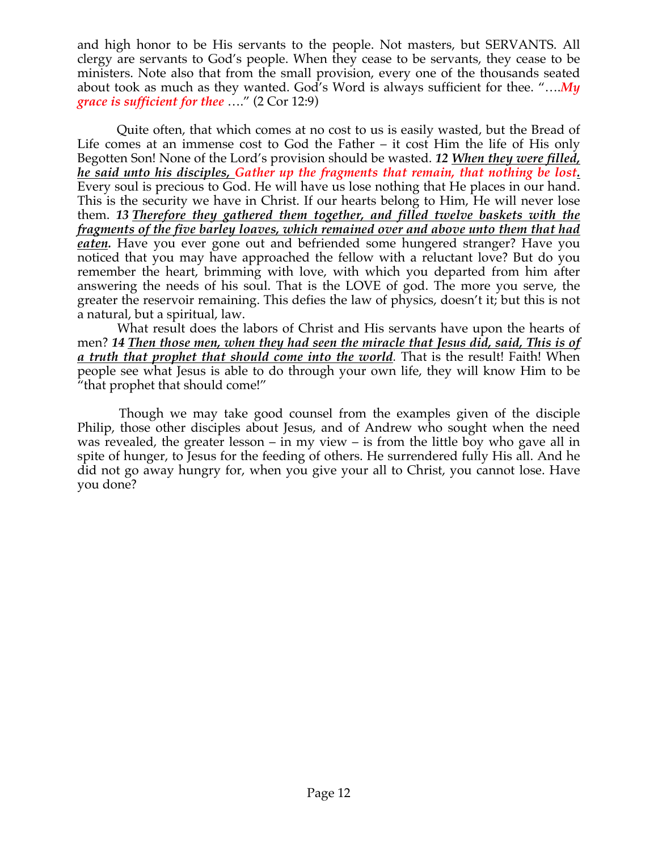and high honor to be His servants to the people. Not masters, but SERVANTS. All clergy are servants to God's people. When they cease to be servants, they cease to be ministers. Note also that from the small provision, every one of the thousands seated about took as much as they wanted. God's Word is always sufficient for thee. "….*My grace is sufficient for thee* …." (2 Cor 12:9)

 Quite often, that which comes at no cost to us is easily wasted, but the Bread of Life comes at an immense cost to God the Father – it cost Him the life of His only Begotten Son! None of the Lord's provision should be wasted. *12 When they were filled, he said unto his disciples, Gather up the fragments that remain, that nothing be lost.* Every soul is precious to God. He will have us lose nothing that He places in our hand. This is the security we have in Christ. If our hearts belong to Him, He will never lose them. *13 Therefore they gathered them together, and filled twelve baskets with the fragments of the five barley loaves, which remained over and above unto them that had eaten.* Have you ever gone out and befriended some hungered stranger? Have you noticed that you may have approached the fellow with a reluctant love? But do you remember the heart, brimming with love, with which you departed from him after answering the needs of his soul. That is the LOVE of god. The more you serve, the greater the reservoir remaining. This defies the law of physics, doesn't it; but this is not a natural, but a spiritual, law.

 What result does the labors of Christ and His servants have upon the hearts of men? *14 Then those men, when they had seen the miracle that Jesus did, said, This is of a truth that prophet that should come into the world.* That is the result! Faith! When people see what Jesus is able to do through your own life, they will know Him to be "that prophet that should come!"

 Though we may take good counsel from the examples given of the disciple Philip, those other disciples about Jesus, and of Andrew who sought when the need was revealed, the greater lesson – in my view – is from the little boy who gave all in spite of hunger, to Jesus for the feeding of others. He surrendered fully His all. And he did not go away hungry for, when you give your all to Christ, you cannot lose. Have you done?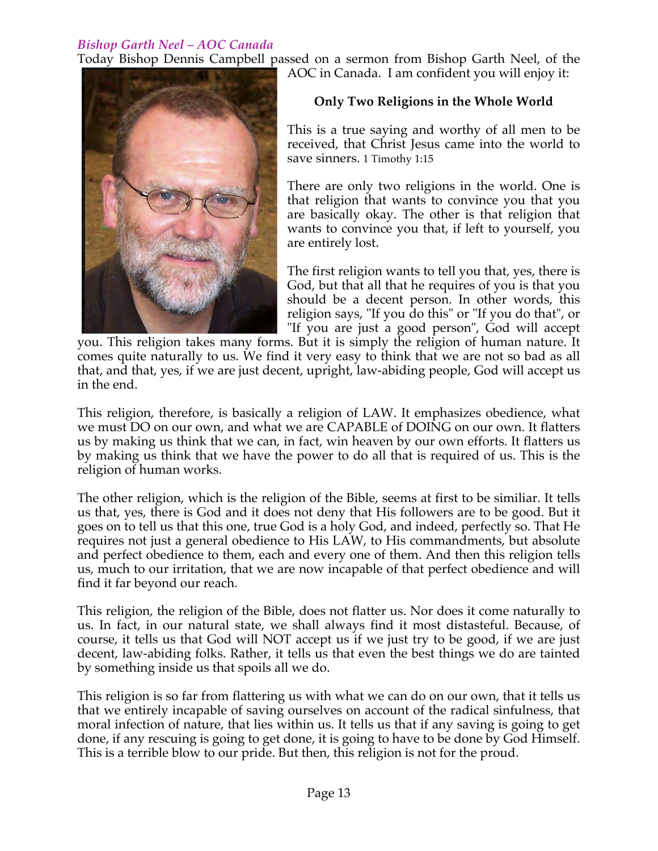## *Bishop Garth Neel – AOC Canada*

Today Bishop Dennis Campbell passed on a sermon from Bishop Garth Neel, of the AOC in Canada. I am confident you will enjoy it:



**Only Two Religions in the Whole World**

This is a true saying and worthy of all men to be received, that Christ Jesus came into the world to save sinners. 1 Timothy 1:15

There are only two religions in the world. One is that religion that wants to convince you that you are basically okay. The other is that religion that wants to convince you that, if left to yourself, you are entirely lost.

The first religion wants to tell you that, yes, there is God, but that all that he requires of you is that you should be a decent person. In other words, this religion says, "If you do this" or "If you do that", or "If you are just a good person", God will accept

you. This religion takes many forms. But it is simply the religion of human nature. It comes quite naturally to us. We find it very easy to think that we are not so bad as all that, and that, yes, if we are just decent, upright, law-abiding people, God will accept us in the end.

This religion, therefore, is basically a religion of LAW. It emphasizes obedience, what we must DO on our own, and what we are CAPABLE of DOING on our own. It flatters us by making us think that we can, in fact, win heaven by our own efforts. It flatters us by making us think that we have the power to do all that is required of us. This is the religion of human works.

The other religion, which is the religion of the Bible, seems at first to be similiar. It tells us that, yes, there is God and it does not deny that His followers are to be good. But it goes on to tell us that this one, true God is a holy God, and indeed, perfectly so. That He requires not just a general obedience to His LAW, to His commandments, but absolute and perfect obedience to them, each and every one of them. And then this religion tells us, much to our irritation, that we are now incapable of that perfect obedience and will find it far beyond our reach.

This religion, the religion of the Bible, does not flatter us. Nor does it come naturally to us. In fact, in our natural state, we shall always find it most distasteful. Because, of course, it tells us that God will NOT accept us if we just try to be good, if we are just decent, law-abiding folks. Rather, it tells us that even the best things we do are tainted by something inside us that spoils all we do.

This religion is so far from flattering us with what we can do on our own, that it tells us that we entirely incapable of saving ourselves on account of the radical sinfulness, that moral infection of nature, that lies within us. It tells us that if any saving is going to get done, if any rescuing is going to get done, it is going to have to be done by God Himself. This is a terrible blow to our pride. But then, this religion is not for the proud.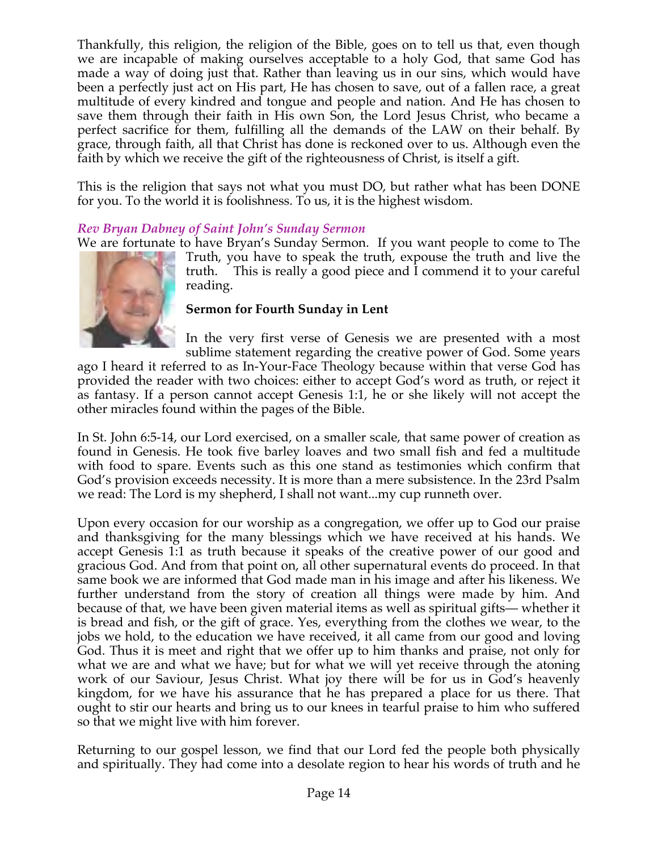Thankfully, this religion, the religion of the Bible, goes on to tell us that, even though we are incapable of making ourselves acceptable to a holy God, that same God has made a way of doing just that. Rather than leaving us in our sins, which would have been a perfectly just act on His part, He has chosen to save, out of a fallen race, a great multitude of every kindred and tongue and people and nation. And He has chosen to save them through their faith in His own Son, the Lord Jesus Christ, who became a perfect sacrifice for them, fulfilling all the demands of the LAW on their behalf. By grace, through faith, all that Christ has done is reckoned over to us. Although even the faith by which we receive the gift of the righteousness of Christ, is itself a gift.

This is the religion that says not what you must DO, but rather what has been DONE for you. To the world it is foolishness. To us, it is the highest wisdom.

## *Rev Bryan Dabney of Saint John's Sunday Sermon*

We are fortunate to have Bryan's Sunday Sermon. If you want people to come to The Truth, you have to speak the truth, expouse the truth and live the



truth. This is really a good piece and I commend it to your careful reading.

#### **Sermon for Fourth Sunday in Lent**

In the very first verse of Genesis we are presented with a most sublime statement regarding the creative power of God. Some years

ago I heard it referred to as In-Your-Face Theology because within that verse God has provided the reader with two choices: either to accept God's word as truth, or reject it as fantasy. If a person cannot accept Genesis 1:1, he or she likely will not accept the other miracles found within the pages of the Bible.

In St. John 6:5-14, our Lord exercised, on a smaller scale, that same power of creation as found in Genesis. He took five barley loaves and two small fish and fed a multitude with food to spare. Events such as this one stand as testimonies which confirm that God's provision exceeds necessity. It is more than a mere subsistence. In the 23rd Psalm we read: The Lord is my shepherd, I shall not want...my cup runneth over.

Upon every occasion for our worship as a congregation, we offer up to God our praise and thanksgiving for the many blessings which we have received at his hands. We accept Genesis 1:1 as truth because it speaks of the creative power of our good and gracious God. And from that point on, all other supernatural events do proceed. In that same book we are informed that God made man in his image and after his likeness. We further understand from the story of creation all things were made by him. And because of that, we have been given material items as well as spiritual gifts— whether it is bread and fish, or the gift of grace. Yes, everything from the clothes we wear, to the jobs we hold, to the education we have received, it all came from our good and loving God. Thus it is meet and right that we offer up to him thanks and praise, not only for what we are and what we have; but for what we will yet receive through the atoning work of our Saviour, Jesus Christ. What joy there will be for us in God's heavenly kingdom, for we have his assurance that he has prepared a place for us there. That ought to stir our hearts and bring us to our knees in tearful praise to him who suffered so that we might live with him forever.

Returning to our gospel lesson, we find that our Lord fed the people both physically and spiritually. They had come into a desolate region to hear his words of truth and he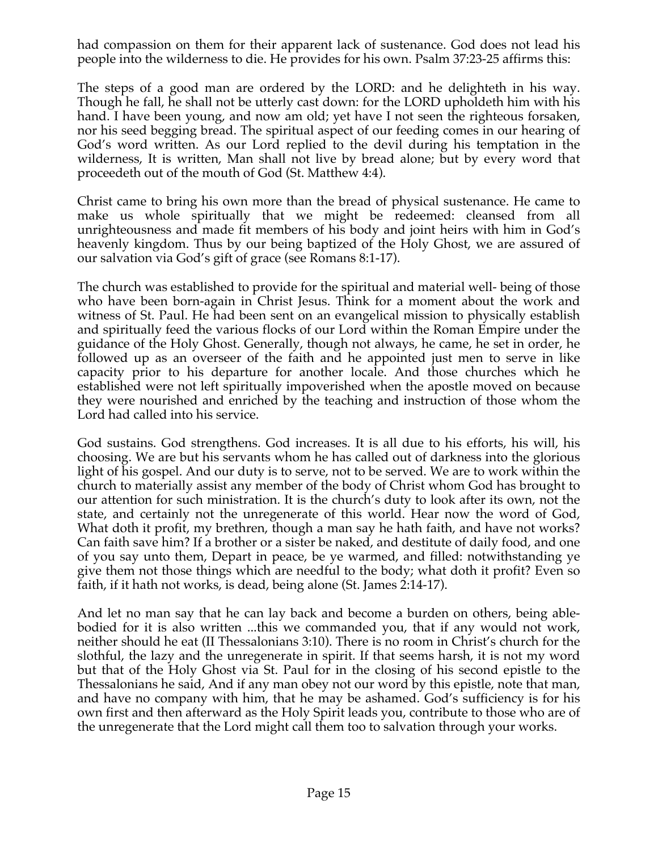had compassion on them for their apparent lack of sustenance. God does not lead his people into the wilderness to die. He provides for his own. Psalm 37:23-25 affirms this:

The steps of a good man are ordered by the LORD: and he delighteth in his way. Though he fall, he shall not be utterly cast down: for the LORD upholdeth him with his hand. I have been young, and now am old; yet have I not seen the righteous forsaken, nor his seed begging bread. The spiritual aspect of our feeding comes in our hearing of God's word written. As our Lord replied to the devil during his temptation in the wilderness, It is written, Man shall not live by bread alone; but by every word that proceedeth out of the mouth of God (St. Matthew 4:4).

Christ came to bring his own more than the bread of physical sustenance. He came to make us whole spiritually that we might be redeemed: cleansed from all unrighteousness and made fit members of his body and joint heirs with him in God's heavenly kingdom. Thus by our being baptized of the Holy Ghost, we are assured of our salvation via God's gift of grace (see Romans 8:1-17).

The church was established to provide for the spiritual and material well- being of those who have been born-again in Christ Jesus. Think for a moment about the work and witness of St. Paul. He had been sent on an evangelical mission to physically establish and spiritually feed the various flocks of our Lord within the Roman Empire under the guidance of the Holy Ghost. Generally, though not always, he came, he set in order, he followed up as an overseer of the faith and he appointed just men to serve in like capacity prior to his departure for another locale. And those churches which he established were not left spiritually impoverished when the apostle moved on because they were nourished and enriched by the teaching and instruction of those whom the Lord had called into his service.

God sustains. God strengthens. God increases. It is all due to his efforts, his will, his choosing. We are but his servants whom he has called out of darkness into the glorious light of his gospel. And our duty is to serve, not to be served. We are to work within the church to materially assist any member of the body of Christ whom God has brought to our attention for such ministration. It is the church's duty to look after its own, not the state, and certainly not the unregenerate of this world. Hear now the word of God, What doth it profit, my brethren, though a man say he hath faith, and have not works? Can faith save him? If a brother or a sister be naked, and destitute of daily food, and one of you say unto them, Depart in peace, be ye warmed, and filled: notwithstanding ye give them not those things which are needful to the body; what doth it profit? Even so faith, if it hath not works, is dead, being alone (St. James 2:14-17).

And let no man say that he can lay back and become a burden on others, being ablebodied for it is also written ...this we commanded you, that if any would not work, neither should he eat (II Thessalonians 3:10). There is no room in Christ's church for the slothful, the lazy and the unregenerate in spirit. If that seems harsh, it is not my word but that of the Holy Ghost via St. Paul for in the closing of his second epistle to the Thessalonians he said, And if any man obey not our word by this epistle, note that man, and have no company with him, that he may be ashamed. God's sufficiency is for his own first and then afterward as the Holy Spirit leads you, contribute to those who are of the unregenerate that the Lord might call them too to salvation through your works.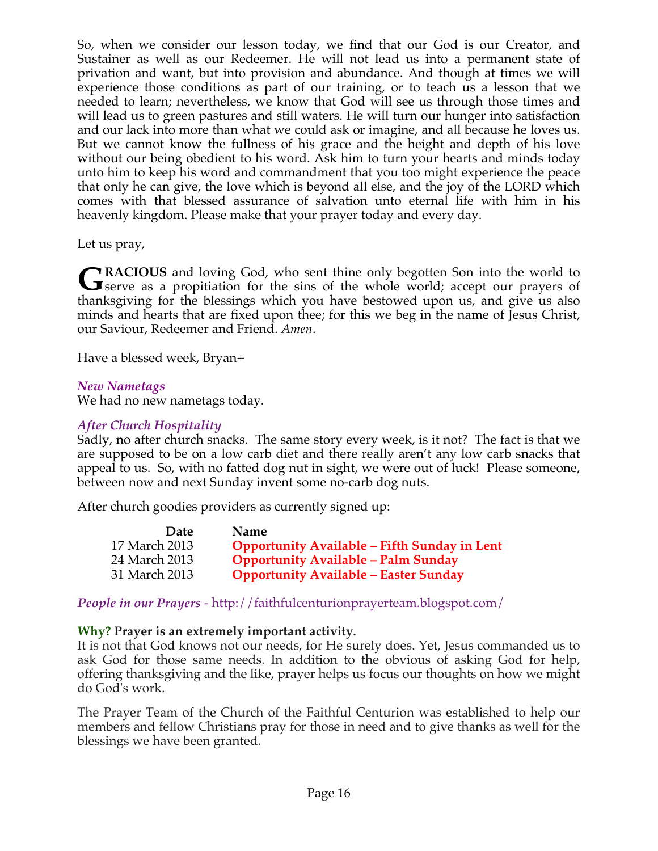So, when we consider our lesson today, we find that our God is our Creator, and Sustainer as well as our Redeemer. He will not lead us into a permanent state of privation and want, but into provision and abundance. And though at times we will experience those conditions as part of our training, or to teach us a lesson that we needed to learn; nevertheless, we know that God will see us through those times and will lead us to green pastures and still waters. He will turn our hunger into satisfaction and our lack into more than what we could ask or imagine, and all because he loves us. But we cannot know the fullness of his grace and the height and depth of his love without our being obedient to his word. Ask him to turn your hearts and minds today unto him to keep his word and commandment that you too might experience the peace that only he can give, the love which is beyond all else, and the joy of the LORD which comes with that blessed assurance of salvation unto eternal life with him in his heavenly kingdom. Please make that your prayer today and every day.

Let us pray,

**RACIOUS** and loving God, who sent thine only begotten Son into the world to GRACIOUS and loving God, who sent thine only begotten Son into the world to serve as a propitiation for the sins of the whole world; accept our prayers of thanksgiving for the blessings which you have bestowed upon us, and give us also minds and hearts that are fixed upon thee; for this we beg in the name of Jesus Christ, our Saviour, Redeemer and Friend. *Amen*.

Have a blessed week, Bryan+

## *New Nametags*

We had no new nametags today.

## *After Church Hospitality*

Sadly, no after church snacks. The same story every week, is it not? The fact is that we are supposed to be on a low carb diet and there really aren't any low carb snacks that appeal to us. So, with no fatted dog nut in sight, we were out of luck! Please someone, between now and next Sunday invent some no-carb dog nuts.

After church goodies providers as currently signed up:

| <b>Date</b>   | <b>Name</b>                                         |
|---------------|-----------------------------------------------------|
| 17 March 2013 | <b>Opportunity Available - Fifth Sunday in Lent</b> |
| 24 March 2013 | <b>Opportunity Available - Palm Sunday</b>          |
| 31 March 2013 | <b>Opportunity Available - Easter Sunday</b>        |

*People in our Prayers* - http://faithfulcenturionprayerteam.blogspot.com/

## **Why? Prayer is an extremely important activity.**

It is not that God knows not our needs, for He surely does. Yet, Jesus commanded us to ask God for those same needs. In addition to the obvious of asking God for help, offering thanksgiving and the like, prayer helps us focus our thoughts on how we might do God's work.

The Prayer Team of the Church of the Faithful Centurion was established to help our members and fellow Christians pray for those in need and to give thanks as well for the blessings we have been granted.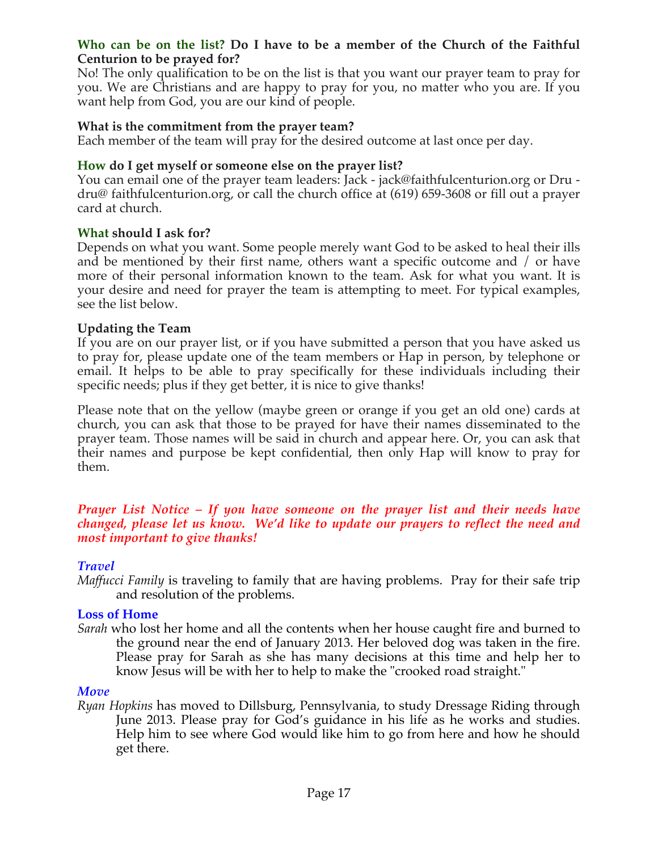### **Who can be on the list? Do I have to be a member of the Church of the Faithful Centurion to be prayed for?**

No! The only qualification to be on the list is that you want our prayer team to pray for you. We are Christians and are happy to pray for you, no matter who you are. If you want help from God, you are our kind of people.

#### **What is the commitment from the prayer team?**

Each member of the team will pray for the desired outcome at last once per day.

#### **How do I get myself or someone else on the prayer list?**

You can email one of the prayer team leaders: Jack - jack@faithfulcenturion.org or Dru dru@ faithfulcenturion.org, or call the church office at (619) 659-3608 or fill out a prayer card at church.

#### **What should I ask for?**

Depends on what you want. Some people merely want God to be asked to heal their ills and be mentioned by their first name, others want a specific outcome and / or have more of their personal information known to the team. Ask for what you want. It is your desire and need for prayer the team is attempting to meet. For typical examples, see the list below.

#### **Updating the Team**

If you are on our prayer list, or if you have submitted a person that you have asked us to pray for, please update one of the team members or Hap in person, by telephone or email. It helps to be able to pray specifically for these individuals including their specific needs; plus if they get better, it is nice to give thanks!

Please note that on the yellow (maybe green or orange if you get an old one) cards at church, you can ask that those to be prayed for have their names disseminated to the prayer team. Those names will be said in church and appear here. Or, you can ask that their names and purpose be kept confidential, then only Hap will know to pray for them.

#### *Prayer List Notice – If you have someone on the prayer list and their needs have changed, please let us know. We'd like to update our prayers to reflect the need and most important to give thanks!*

#### *Travel*

*Maffucci Family* is traveling to family that are having problems. Pray for their safe trip and resolution of the problems.

#### **Loss of Home**

*Sarah* who lost her home and all the contents when her house caught fire and burned to the ground near the end of January 2013. Her beloved dog was taken in the fire. Please pray for Sarah as she has many decisions at this time and help her to know Jesus will be with her to help to make the "crooked road straight."

#### *Move*

*Ryan Hopkins* has moved to Dillsburg, Pennsylvania, to study Dressage Riding through June 2013. Please pray for God's guidance in his life as he works and studies. Help him to see where God would like him to go from here and how he should get there.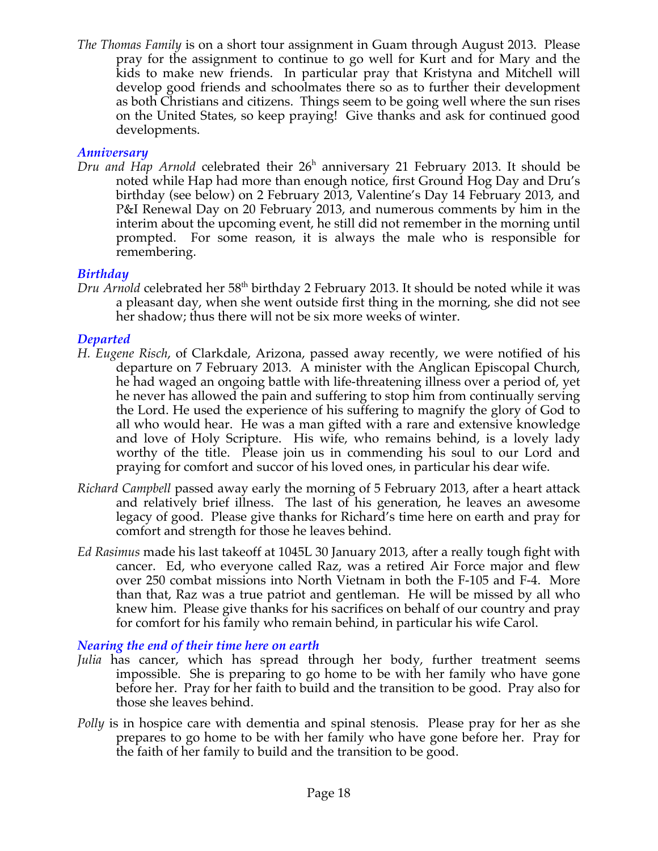*The Thomas Family* is on a short tour assignment in Guam through August 2013. Please pray for the assignment to continue to go well for Kurt and for Mary and the kids to make new friends. In particular pray that Kristyna and Mitchell will develop good friends and schoolmates there so as to further their development as both Christians and citizens. Things seem to be going well where the sun rises on the United States, so keep praying! Give thanks and ask for continued good developments.

## *Anniversary*

Dru and Hap Arnold celebrated their 26<sup>h</sup> anniversary 21 February 2013. It should be noted while Hap had more than enough notice, first Ground Hog Day and Dru's birthday (see below) on 2 February 2013, Valentine's Day 14 February 2013, and P&I Renewal Day on 20 February 2013, and numerous comments by him in the interim about the upcoming event, he still did not remember in the morning until prompted. For some reason, it is always the male who is responsible for remembering.

## *Birthday*

*Dru Arnold* celebrated her 58th birthday 2 February 2013. It should be noted while it was a pleasant day, when she went outside first thing in the morning, she did not see her shadow; thus there will not be six more weeks of winter.

## *Departed*

- *H. Eugene Risch*, of Clarkdale, Arizona, passed away recently, we were notified of his departure on 7 February 2013. A minister with the Anglican Episcopal Church, he had waged an ongoing battle with life-threatening illness over a period of, yet he never has allowed the pain and suffering to stop him from continually serving the Lord. He used the experience of his suffering to magnify the glory of God to all who would hear. He was a man gifted with a rare and extensive knowledge and love of Holy Scripture. His wife, who remains behind, is a lovely lady worthy of the title. Please join us in commending his soul to our Lord and praying for comfort and succor of his loved ones, in particular his dear wife.
- *Richard Campbell* passed away early the morning of 5 February 2013, after a heart attack and relatively brief illness. The last of his generation, he leaves an awesome legacy of good. Please give thanks for Richard's time here on earth and pray for comfort and strength for those he leaves behind.
- *Ed Rasimus* made his last takeoff at 1045L 30 January 2013, after a really tough fight with cancer. Ed, who everyone called Raz, was a retired Air Force major and flew over 250 combat missions into North Vietnam in both the F-105 and F-4. More than that, Raz was a true patriot and gentleman. He will be missed by all who knew him. Please give thanks for his sacrifices on behalf of our country and pray for comfort for his family who remain behind, in particular his wife Carol.

## *Nearing the end of their time here on earth*

- *Julia* has cancer, which has spread through her body, further treatment seems impossible. She is preparing to go home to be with her family who have gone before her. Pray for her faith to build and the transition to be good. Pray also for those she leaves behind.
- *Polly* is in hospice care with dementia and spinal stenosis. Please pray for her as she prepares to go home to be with her family who have gone before her. Pray for the faith of her family to build and the transition to be good.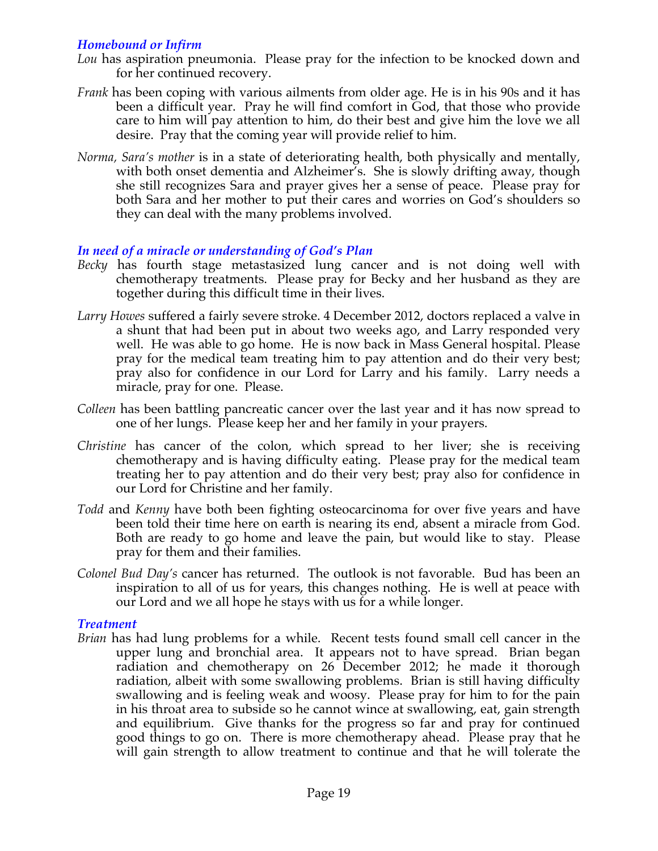## *Homebound or Infirm*

- *Lou* has aspiration pneumonia. Please pray for the infection to be knocked down and for her continued recovery.
- *Frank* has been coping with various ailments from older age. He is in his 90s and it has been a difficult year. Pray he will find comfort in God, that those who provide care to him will pay attention to him, do their best and give him the love we all desire. Pray that the coming year will provide relief to him.
- *Norma, Sara's mother* is in a state of deteriorating health, both physically and mentally, with both onset dementia and Alzheimer's. She is slowly drifting away, though she still recognizes Sara and prayer gives her a sense of peace. Please pray for both Sara and her mother to put their cares and worries on God's shoulders so they can deal with the many problems involved.

## *In need of a miracle or understanding of God's Plan*

- *Becky* has fourth stage metastasized lung cancer and is not doing well with chemotherapy treatments. Please pray for Becky and her husband as they are together during this difficult time in their lives.
- *Larry Howes* suffered a fairly severe stroke. 4 December 2012, doctors replaced a valve in a shunt that had been put in about two weeks ago, and Larry responded very well. He was able to go home. He is now back in Mass General hospital. Please pray for the medical team treating him to pay attention and do their very best; pray also for confidence in our Lord for Larry and his family. Larry needs a miracle, pray for one. Please.
- *Colleen* has been battling pancreatic cancer over the last year and it has now spread to one of her lungs. Please keep her and her family in your prayers.
- *Christine* has cancer of the colon, which spread to her liver; she is receiving chemotherapy and is having difficulty eating. Please pray for the medical team treating her to pay attention and do their very best; pray also for confidence in our Lord for Christine and her family.
- *Todd* and *Kenny* have both been fighting osteocarcinoma for over five years and have been told their time here on earth is nearing its end, absent a miracle from God. Both are ready to go home and leave the pain, but would like to stay. Please pray for them and their families.
- *Colonel Bud Day's* cancer has returned. The outlook is not favorable. Bud has been an inspiration to all of us for years, this changes nothing. He is well at peace with our Lord and we all hope he stays with us for a while longer.

#### *Treatment*

*Brian* has had lung problems for a while. Recent tests found small cell cancer in the upper lung and bronchial area. It appears not to have spread. Brian began radiation and chemotherapy on 26 December 2012; he made it thorough radiation, albeit with some swallowing problems. Brian is still having difficulty swallowing and is feeling weak and woosy. Please pray for him to for the pain in his throat area to subside so he cannot wince at swallowing, eat, gain strength and equilibrium. Give thanks for the progress so far and pray for continued good things to go on. There is more chemotherapy ahead. Please pray that he will gain strength to allow treatment to continue and that he will tolerate the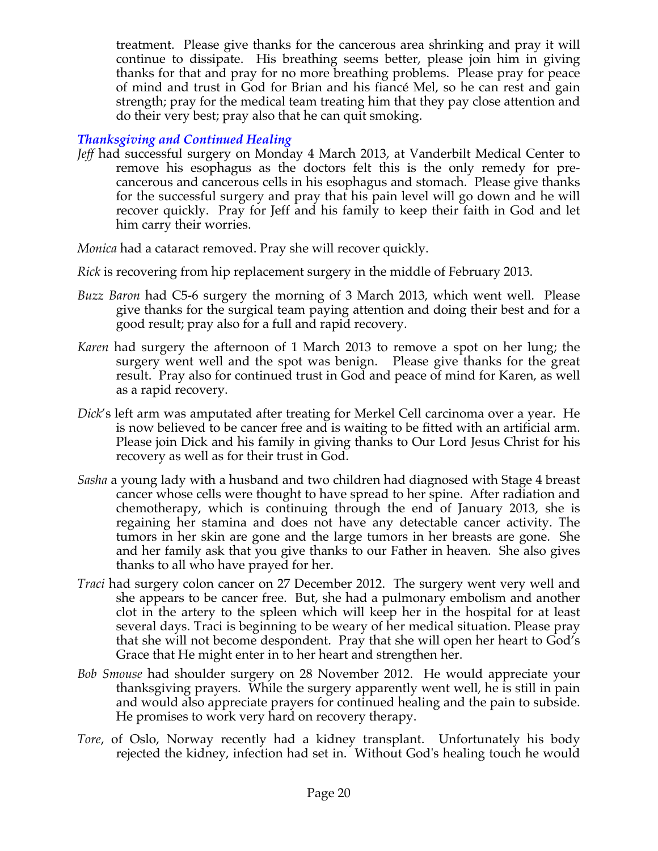treatment. Please give thanks for the cancerous area shrinking and pray it will continue to dissipate. His breathing seems better, please join him in giving thanks for that and pray for no more breathing problems. Please pray for peace of mind and trust in God for Brian and his fiancé Mel, so he can rest and gain strength; pray for the medical team treating him that they pay close attention and do their very best; pray also that he can quit smoking.

## *Thanksgiving and Continued Healing*

*Jeff* had successful surgery on Monday 4 March 2013, at Vanderbilt Medical Center to remove his esophagus as the doctors felt this is the only remedy for precancerous and cancerous cells in his esophagus and stomach. Please give thanks for the successful surgery and pray that his pain level will go down and he will recover quickly. Pray for Jeff and his family to keep their faith in God and let him carry their worries.

*Monica* had a cataract removed. Pray she will recover quickly.

- *Rick* is recovering from hip replacement surgery in the middle of February 2013.
- *Buzz Baron* had C5-6 surgery the morning of 3 March 2013, which went well. Please give thanks for the surgical team paying attention and doing their best and for a good result; pray also for a full and rapid recovery.
- *Karen* had surgery the afternoon of 1 March 2013 to remove a spot on her lung; the surgery went well and the spot was benign. Please give thanks for the great result. Pray also for continued trust in God and peace of mind for Karen, as well as a rapid recovery.
- *Dick*'s left arm was amputated after treating for Merkel Cell carcinoma over a year. He is now believed to be cancer free and is waiting to be fitted with an artificial arm. Please join Dick and his family in giving thanks to Our Lord Jesus Christ for his recovery as well as for their trust in God.
- *Sasha* a young lady with a husband and two children had diagnosed with Stage 4 breast cancer whose cells were thought to have spread to her spine. After radiation and chemotherapy, which is continuing through the end of January 2013, she is regaining her stamina and does not have any detectable cancer activity. The tumors in her skin are gone and the large tumors in her breasts are gone. She and her family ask that you give thanks to our Father in heaven. She also gives thanks to all who have prayed for her.
- *Traci* had surgery colon cancer on 27 December 2012. The surgery went very well and she appears to be cancer free. But, she had a pulmonary embolism and another clot in the artery to the spleen which will keep her in the hospital for at least several days. Traci is beginning to be weary of her medical situation. Please pray that she will not become despondent. Pray that she will open her heart to God's Grace that He might enter in to her heart and strengthen her.
- *Bob Smouse* had shoulder surgery on 28 November 2012. He would appreciate your thanksgiving prayers. While the surgery apparently went well, he is still in pain and would also appreciate prayers for continued healing and the pain to subside. He promises to work very hard on recovery therapy.
- *Tore*, of Oslo, Norway recently had a kidney transplant. Unfortunately his body rejected the kidney, infection had set in. Without God's healing touch he would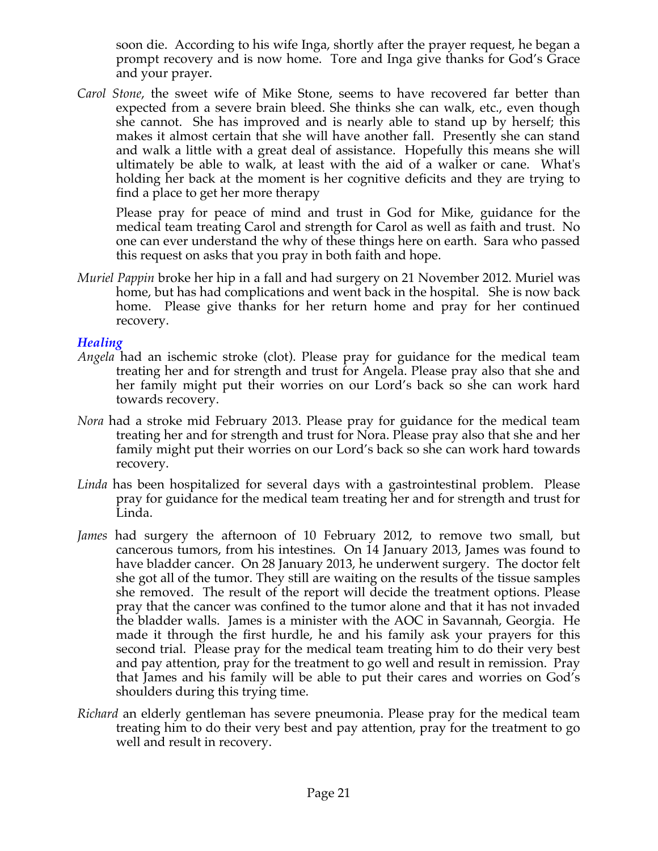soon die. According to his wife Inga, shortly after the prayer request, he began a prompt recovery and is now home. Tore and Inga give thanks for God's Grace and your prayer.

*Carol Stone*, the sweet wife of Mike Stone, seems to have recovered far better than expected from a severe brain bleed. She thinks she can walk, etc., even though she cannot. She has improved and is nearly able to stand up by herself; this makes it almost certain that she will have another fall. Presently she can stand and walk a little with a great deal of assistance. Hopefully this means she will ultimately be able to walk, at least with the aid of a walker or cane. What's holding her back at the moment is her cognitive deficits and they are trying to find a place to get her more therapy

Please pray for peace of mind and trust in God for Mike, guidance for the medical team treating Carol and strength for Carol as well as faith and trust. No one can ever understand the why of these things here on earth. Sara who passed this request on asks that you pray in both faith and hope.

*Muriel Pappin* broke her hip in a fall and had surgery on 21 November 2012. Muriel was home, but has had complications and went back in the hospital. She is now back home. Please give thanks for her return home and pray for her continued recovery.

#### *Healing*

- *Angela* had an ischemic stroke (clot). Please pray for guidance for the medical team treating her and for strength and trust for Angela. Please pray also that she and her family might put their worries on our Lord's back so she can work hard towards recovery.
- *Nora* had a stroke mid February 2013. Please pray for guidance for the medical team treating her and for strength and trust for Nora. Please pray also that she and her family might put their worries on our Lord's back so she can work hard towards recovery.
- *Linda* has been hospitalized for several days with a gastrointestinal problem. Please pray for guidance for the medical team treating her and for strength and trust for Linda.
- *James* had surgery the afternoon of 10 February 2012, to remove two small, but cancerous tumors, from his intestines. On 14 January 2013, James was found to have bladder cancer. On 28 January 2013, he underwent surgery. The doctor felt she got all of the tumor. They still are waiting on the results of the tissue samples she removed. The result of the report will decide the treatment options. Please pray that the cancer was confined to the tumor alone and that it has not invaded the bladder walls. James is a minister with the AOC in Savannah, Georgia. He made it through the first hurdle, he and his family ask your prayers for this second trial. Please pray for the medical team treating him to do their very best and pay attention, pray for the treatment to go well and result in remission. Pray that James and his family will be able to put their cares and worries on God's shoulders during this trying time.
- *Richard* an elderly gentleman has severe pneumonia. Please pray for the medical team treating him to do their very best and pay attention, pray for the treatment to go well and result in recovery.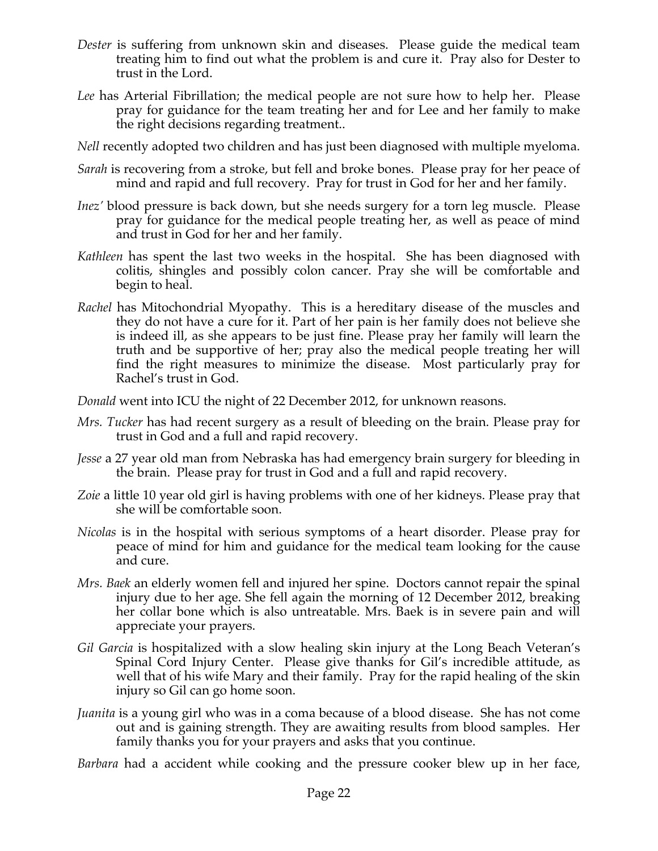- *Dester* is suffering from unknown skin and diseases. Please guide the medical team treating him to find out what the problem is and cure it. Pray also for Dester to trust in the Lord.
- *Lee* has Arterial Fibrillation; the medical people are not sure how to help her. Please pray for guidance for the team treating her and for Lee and her family to make the right decisions regarding treatment..
- *Nell* recently adopted two children and has just been diagnosed with multiple myeloma.
- *Sarah* is recovering from a stroke, but fell and broke bones. Please pray for her peace of mind and rapid and full recovery. Pray for trust in God for her and her family.
- *Inez'* blood pressure is back down, but she needs surgery for a torn leg muscle. Please pray for guidance for the medical people treating her, as well as peace of mind and trust in God for her and her family.
- *Kathleen* has spent the last two weeks in the hospital. She has been diagnosed with colitis, shingles and possibly colon cancer. Pray she will be comfortable and begin to heal.
- *Rachel* has Mitochondrial Myopathy. This is a hereditary disease of the muscles and they do not have a cure for it. Part of her pain is her family does not believe she is indeed ill, as she appears to be just fine. Please pray her family will learn the truth and be supportive of her; pray also the medical people treating her will find the right measures to minimize the disease. Most particularly pray for Rachel's trust in God.

*Donald* went into ICU the night of 22 December 2012, for unknown reasons.

- *Mrs. Tucker* has had recent surgery as a result of bleeding on the brain. Please pray for trust in God and a full and rapid recovery.
- *Jesse* a 27 year old man from Nebraska has had emergency brain surgery for bleeding in the brain. Please pray for trust in God and a full and rapid recovery.
- *Zoie* a little 10 year old girl is having problems with one of her kidneys. Please pray that she will be comfortable soon.
- *Nicolas* is in the hospital with serious symptoms of a heart disorder. Please pray for peace of mind for him and guidance for the medical team looking for the cause and cure.
- *Mrs. Baek* an elderly women fell and injured her spine. Doctors cannot repair the spinal injury due to her age. She fell again the morning of 12 December 2012, breaking her collar bone which is also untreatable. Mrs. Baek is in severe pain and will appreciate your prayers.
- *Gil Garcia* is hospitalized with a slow healing skin injury at the Long Beach Veteran's Spinal Cord Injury Center. Please give thanks for Gil's incredible attitude, as well that of his wife Mary and their family. Pray for the rapid healing of the skin injury so Gil can go home soon.
- *Juanita* is a young girl who was in a coma because of a blood disease. She has not come out and is gaining strength. They are awaiting results from blood samples. Her family thanks you for your prayers and asks that you continue.

*Barbara* had a accident while cooking and the pressure cooker blew up in her face,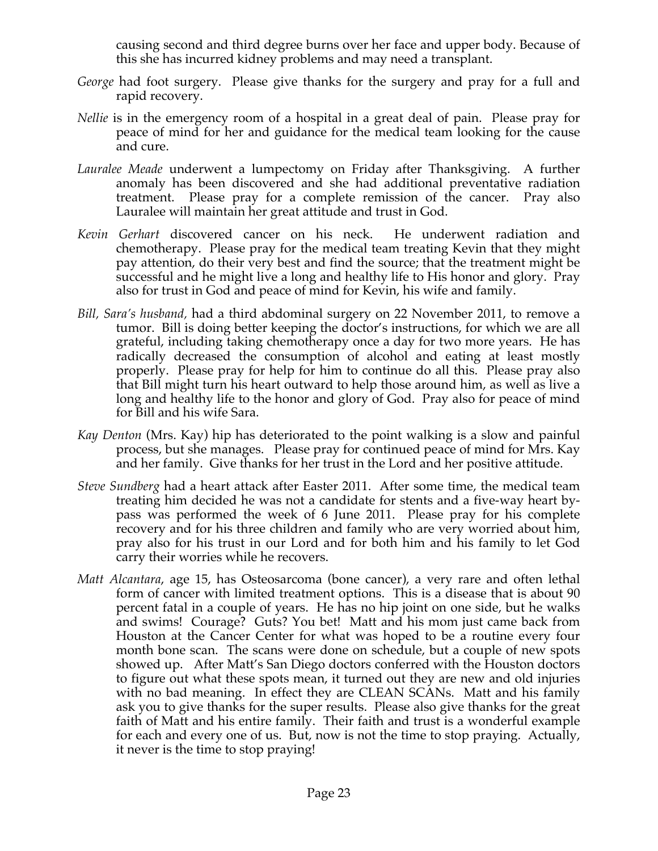causing second and third degree burns over her face and upper body. Because of this she has incurred kidney problems and may need a transplant.

- *George* had foot surgery. Please give thanks for the surgery and pray for a full and rapid recovery.
- *Nellie* is in the emergency room of a hospital in a great deal of pain. Please pray for peace of mind for her and guidance for the medical team looking for the cause and cure.
- *Lauralee Meade* underwent a lumpectomy on Friday after Thanksgiving. A further anomaly has been discovered and she had additional preventative radiation treatment. Please pray for a complete remission of the cancer. Pray also Lauralee will maintain her great attitude and trust in God.
- *Kevin Gerhart* discovered cancer on his neck. He underwent radiation and chemotherapy. Please pray for the medical team treating Kevin that they might pay attention, do their very best and find the source; that the treatment might be successful and he might live a long and healthy life to His honor and glory. Pray also for trust in God and peace of mind for Kevin, his wife and family.
- *Bill, Sara's husband,* had a third abdominal surgery on 22 November 2011, to remove a tumor. Bill is doing better keeping the doctor's instructions, for which we are all grateful, including taking chemotherapy once a day for two more years. He has radically decreased the consumption of alcohol and eating at least mostly properly. Please pray for help for him to continue do all this. Please pray also that Bill might turn his heart outward to help those around him, as well as live a long and healthy life to the honor and glory of God. Pray also for peace of mind for Bill and his wife Sara.
- *Kay Denton* (Mrs. Kay) hip has deteriorated to the point walking is a slow and painful process, but she manages. Please pray for continued peace of mind for Mrs. Kay and her family. Give thanks for her trust in the Lord and her positive attitude.
- *Steve Sundberg* had a heart attack after Easter 2011. After some time, the medical team treating him decided he was not a candidate for stents and a five-way heart bypass was performed the week of 6 June 2011. Please pray for his complete recovery and for his three children and family who are very worried about him, pray also for his trust in our Lord and for both him and his family to let God carry their worries while he recovers.
- *Matt Alcantara*, age 15, has Osteosarcoma (bone cancer), a very rare and often lethal form of cancer with limited treatment options. This is a disease that is about 90 percent fatal in a couple of years. He has no hip joint on one side, but he walks and swims! Courage? Guts? You bet! Matt and his mom just came back from Houston at the Cancer Center for what was hoped to be a routine every four month bone scan. The scans were done on schedule, but a couple of new spots showed up. After Matt's San Diego doctors conferred with the Houston doctors to figure out what these spots mean, it turned out they are new and old injuries with no bad meaning. In effect they are CLEAN SCANs. Matt and his family ask you to give thanks for the super results. Please also give thanks for the great faith of Matt and his entire family. Their faith and trust is a wonderful example for each and every one of us. But, now is not the time to stop praying. Actually, it never is the time to stop praying!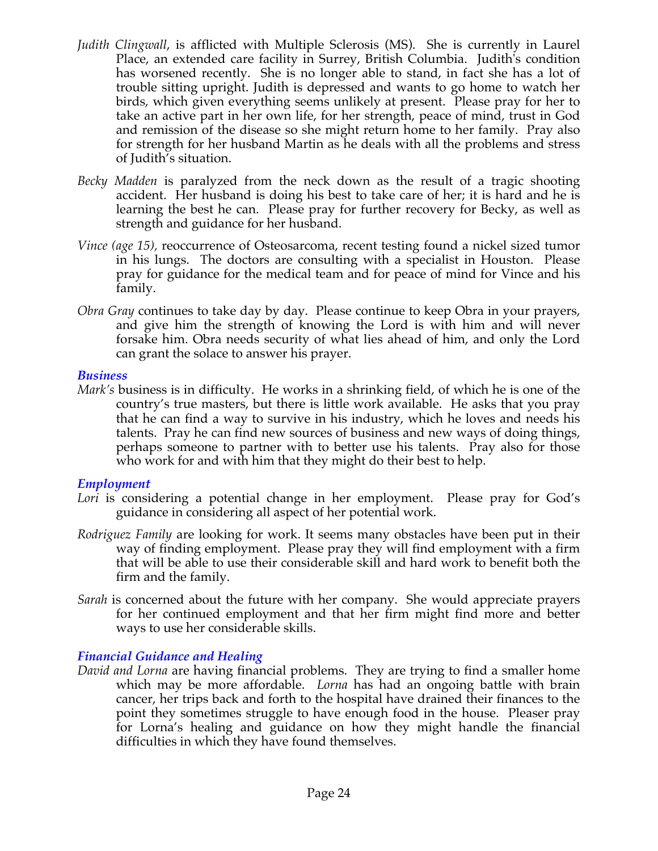- *Judith Clingwall*, is afflicted with Multiple Sclerosis (MS). She is currently in Laurel Place, an extended care facility in Surrey, British Columbia. Judith's condition has worsened recently. She is no longer able to stand, in fact she has a lot of trouble sitting upright. Judith is depressed and wants to go home to watch her birds, which given everything seems unlikely at present. Please pray for her to take an active part in her own life, for her strength, peace of mind, trust in God and remission of the disease so she might return home to her family. Pray also for strength for her husband Martin as he deals with all the problems and stress of Judith's situation.
- *Becky Madden* is paralyzed from the neck down as the result of a tragic shooting accident. Her husband is doing his best to take care of her; it is hard and he is learning the best he can. Please pray for further recovery for Becky, as well as strength and guidance for her husband.
- *Vince (age 15),* reoccurrence of Osteosarcoma, recent testing found a nickel sized tumor in his lungs. The doctors are consulting with a specialist in Houston. Please pray for guidance for the medical team and for peace of mind for Vince and his family.
- *Obra Gray* continues to take day by day. Please continue to keep Obra in your prayers, and give him the strength of knowing the Lord is with him and will never forsake him. Obra needs security of what lies ahead of him, and only the Lord can grant the solace to answer his prayer.

#### *Business*

*Mark's* business is in difficulty. He works in a shrinking field, of which he is one of the country's true masters, but there is little work available. He asks that you pray that he can find a way to survive in his industry, which he loves and needs his talents. Pray he can find new sources of business and new ways of doing things, perhaps someone to partner with to better use his talents. Pray also for those who work for and with him that they might do their best to help.

#### *Employment*

- Lori is considering a potential change in her employment. Please pray for God's guidance in considering all aspect of her potential work.
- *Rodriguez Family* are looking for work. It seems many obstacles have been put in their way of finding employment. Please pray they will find employment with a firm that will be able to use their considerable skill and hard work to benefit both the firm and the family.
- *Sarah* is concerned about the future with her company. She would appreciate prayers for her continued employment and that her firm might find more and better ways to use her considerable skills.

## *Financial Guidance and Healing*

*David and Lorna* are having financial problems. They are trying to find a smaller home which may be more affordable. *Lorna* has had an ongoing battle with brain cancer, her trips back and forth to the hospital have drained their finances to the point they sometimes struggle to have enough food in the house. Pleaser pray for Lorna's healing and guidance on how they might handle the financial difficulties in which they have found themselves.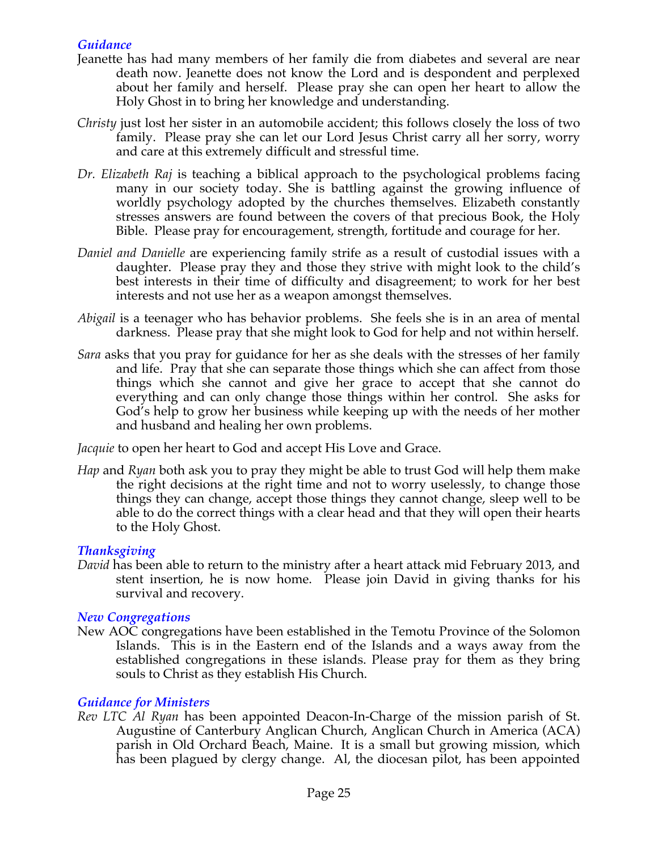## *Guidance*

- Jeanette has had many members of her family die from diabetes and several are near death now. Jeanette does not know the Lord and is despondent and perplexed about her family and herself. Please pray she can open her heart to allow the Holy Ghost in to bring her knowledge and understanding.
- *Christy* just lost her sister in an automobile accident; this follows closely the loss of two family. Please pray she can let our Lord Jesus Christ carry all her sorry, worry and care at this extremely difficult and stressful time.
- *Dr. Elizabeth Raj* is teaching a biblical approach to the psychological problems facing many in our society today. She is battling against the growing influence of worldly psychology adopted by the churches themselves. Elizabeth constantly stresses answers are found between the covers of that precious Book, the Holy Bible. Please pray for encouragement, strength, fortitude and courage for her.
- *Daniel and Danielle* are experiencing family strife as a result of custodial issues with a daughter. Please pray they and those they strive with might look to the child's best interests in their time of difficulty and disagreement; to work for her best interests and not use her as a weapon amongst themselves.
- *Abigail* is a teenager who has behavior problems. She feels she is in an area of mental darkness. Please pray that she might look to God for help and not within herself.
- *Sara* asks that you pray for guidance for her as she deals with the stresses of her family and life. Pray that she can separate those things which she can affect from those things which she cannot and give her grace to accept that she cannot do everything and can only change those things within her control. She asks for God's help to grow her business while keeping up with the needs of her mother and husband and healing her own problems.

*Jacquie* to open her heart to God and accept His Love and Grace.

*Hap* and *Ryan* both ask you to pray they might be able to trust God will help them make the right decisions at the right time and not to worry uselessly, to change those things they can change, accept those things they cannot change, sleep well to be able to do the correct things with a clear head and that they will open their hearts to the Holy Ghost.

#### *Thanksgiving*

*David* has been able to return to the ministry after a heart attack mid February 2013, and stent insertion, he is now home. Please join David in giving thanks for his survival and recovery.

#### *New Congregations*

New AOC congregations have been established in the Temotu Province of the Solomon Islands. This is in the Eastern end of the Islands and a ways away from the established congregations in these islands. Please pray for them as they bring souls to Christ as they establish His Church.

#### *Guidance for Ministers*

*Rev LTC Al Ryan* has been appointed Deacon-In-Charge of the mission parish of St. Augustine of Canterbury Anglican Church, Anglican Church in America (ACA) parish in Old Orchard Beach, Maine. It is a small but growing mission, which has been plagued by clergy change. Al, the diocesan pilot, has been appointed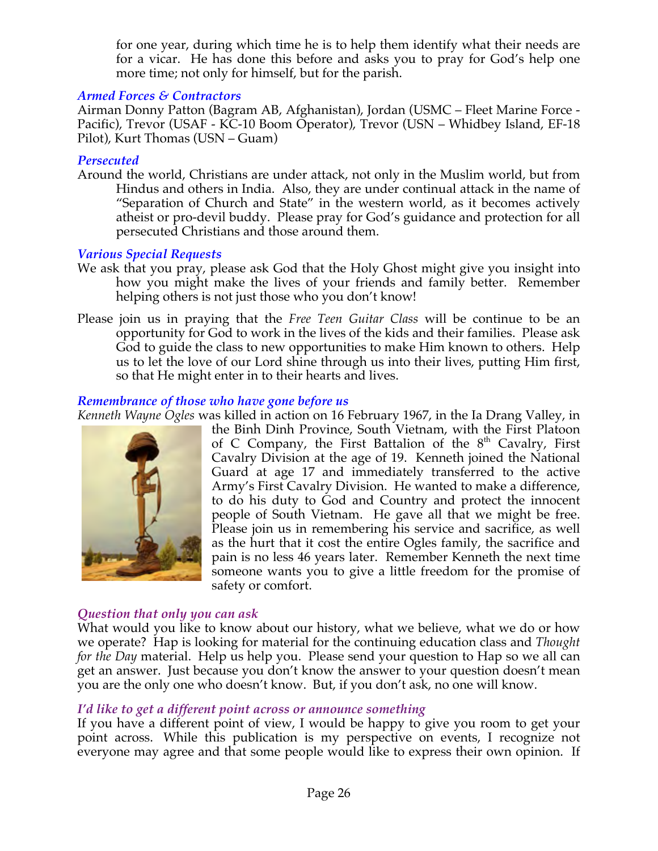for one year, during which time he is to help them identify what their needs are for a vicar. He has done this before and asks you to pray for God's help one more time; not only for himself, but for the parish.

## *Armed Forces & Contractors*

Airman Donny Patton (Bagram AB, Afghanistan), Jordan (USMC – Fleet Marine Force - Pacific), Trevor (USAF - KC-10 Boom Operator), Trevor (USN – Whidbey Island, EF-18 Pilot), Kurt Thomas (USN – Guam)

### *Persecuted*

Around the world, Christians are under attack, not only in the Muslim world, but from Hindus and others in India. Also, they are under continual attack in the name of "Separation of Church and State" in the western world, as it becomes actively atheist or pro-devil buddy. Please pray for God's guidance and protection for all persecuted Christians and those around them.

## *Various Special Requests*

- We ask that you pray, please ask God that the Holy Ghost might give you insight into how you might make the lives of your friends and family better. Remember helping others is not just those who you don't know!
- Please join us in praying that the *Free Teen Guitar Class* will be continue to be an opportunity for God to work in the lives of the kids and their families. Please ask God to guide the class to new opportunities to make Him known to others. Help us to let the love of our Lord shine through us into their lives, putting Him first, so that He might enter in to their hearts and lives.

## *Remembrance of those who have gone before us*

*Kenneth Wayne Ogles* was killed in action on 16 February 1967, in the Ia Drang Valley, in



the Binh Dinh Province, South Vietnam, with the First Platoon of C Company, the First Battalion of the  $8<sup>th</sup>$  Cavalry, First Cavalry Division at the age of 19. Kenneth joined the National Guard at age 17 and immediately transferred to the active Army's First Cavalry Division. He wanted to make a difference, to do his duty to God and Country and protect the innocent people of South Vietnam. He gave all that we might be free. Please join us in remembering his service and sacrifice, as well as the hurt that it cost the entire Ogles family, the sacrifice and pain is no less 46 years later. Remember Kenneth the next time someone wants you to give a little freedom for the promise of safety or comfort.

## *Question that only you can ask*

What would you like to know about our history, what we believe, what we do or how we operate? Hap is looking for material for the continuing education class and *Thought for the Day* material. Help us help you. Please send your question to Hap so we all can get an answer. Just because you don't know the answer to your question doesn't mean you are the only one who doesn't know. But, if you don't ask, no one will know.

#### *I'd like to get a different point across or announce something*

If you have a different point of view, I would be happy to give you room to get your point across. While this publication is my perspective on events, I recognize not everyone may agree and that some people would like to express their own opinion. If